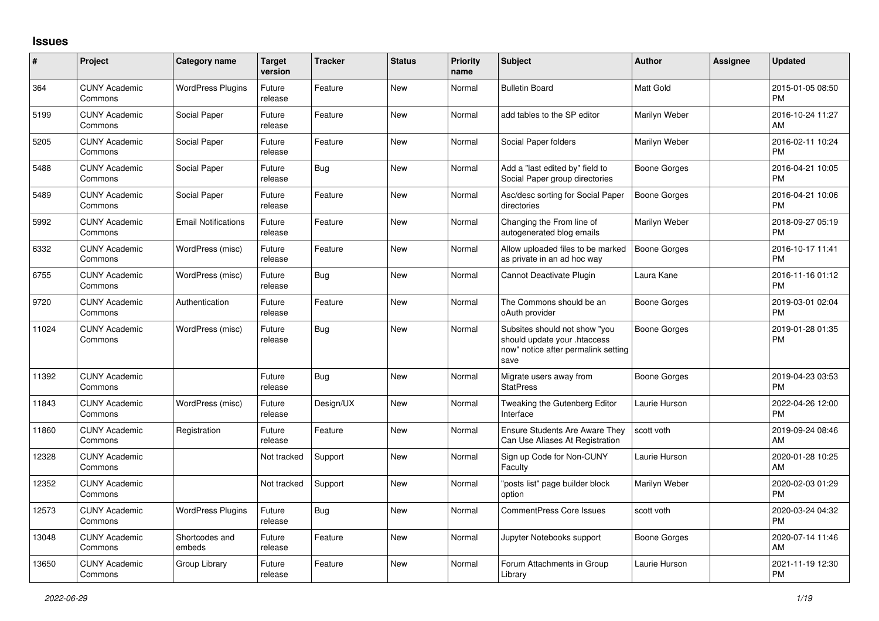## **Issues**

| #     | Project                         | Category name              | <b>Target</b><br>version | <b>Tracker</b> | <b>Status</b> | <b>Priority</b><br>name | <b>Subject</b>                                                                                               | <b>Author</b>    | <b>Assignee</b> | <b>Updated</b>                |
|-------|---------------------------------|----------------------------|--------------------------|----------------|---------------|-------------------------|--------------------------------------------------------------------------------------------------------------|------------------|-----------------|-------------------------------|
| 364   | <b>CUNY Academic</b><br>Commons | <b>WordPress Plugins</b>   | Future<br>release        | Feature        | <b>New</b>    | Normal                  | <b>Bulletin Board</b>                                                                                        | <b>Matt Gold</b> |                 | 2015-01-05 08:50<br><b>PM</b> |
| 5199  | <b>CUNY Academic</b><br>Commons | Social Paper               | Future<br>release        | Feature        | <b>New</b>    | Normal                  | add tables to the SP editor                                                                                  | Marilyn Weber    |                 | 2016-10-24 11:27<br>AM        |
| 5205  | <b>CUNY Academic</b><br>Commons | Social Paper               | Future<br>release        | Feature        | <b>New</b>    | Normal                  | Social Paper folders                                                                                         | Marilyn Weber    |                 | 2016-02-11 10:24<br><b>PM</b> |
| 5488  | <b>CUNY Academic</b><br>Commons | Social Paper               | Future<br>release        | <b>Bug</b>     | <b>New</b>    | Normal                  | Add a "last edited by" field to<br>Social Paper group directories                                            | Boone Gorges     |                 | 2016-04-21 10:05<br><b>PM</b> |
| 5489  | <b>CUNY Academic</b><br>Commons | Social Paper               | Future<br>release        | Feature        | <b>New</b>    | Normal                  | Asc/desc sorting for Social Paper<br>directories                                                             | Boone Gorges     |                 | 2016-04-21 10:06<br><b>PM</b> |
| 5992  | <b>CUNY Academic</b><br>Commons | <b>Email Notifications</b> | Future<br>release        | Feature        | <b>New</b>    | Normal                  | Changing the From line of<br>autogenerated blog emails                                                       | Marilyn Weber    |                 | 2018-09-27 05:19<br><b>PM</b> |
| 6332  | <b>CUNY Academic</b><br>Commons | WordPress (misc)           | Future<br>release        | Feature        | New           | Normal                  | Allow uploaded files to be marked<br>as private in an ad hoc way                                             | Boone Gorges     |                 | 2016-10-17 11:41<br><b>PM</b> |
| 6755  | <b>CUNY Academic</b><br>Commons | WordPress (misc)           | Future<br>release        | Bug            | <b>New</b>    | Normal                  | Cannot Deactivate Plugin                                                                                     | Laura Kane       |                 | 2016-11-16 01:12<br><b>PM</b> |
| 9720  | <b>CUNY Academic</b><br>Commons | Authentication             | Future<br>release        | Feature        | <b>New</b>    | Normal                  | The Commons should be an<br>oAuth provider                                                                   | Boone Gorges     |                 | 2019-03-01 02:04<br><b>PM</b> |
| 11024 | <b>CUNY Academic</b><br>Commons | WordPress (misc)           | Future<br>release        | <b>Bug</b>     | <b>New</b>    | Normal                  | Subsites should not show "you<br>should update your .htaccess<br>now" notice after permalink setting<br>save | Boone Gorges     |                 | 2019-01-28 01:35<br><b>PM</b> |
| 11392 | <b>CUNY Academic</b><br>Commons |                            | Future<br>release        | <b>Bug</b>     | <b>New</b>    | Normal                  | Migrate users away from<br><b>StatPress</b>                                                                  | Boone Gorges     |                 | 2019-04-23 03:53<br><b>PM</b> |
| 11843 | <b>CUNY Academic</b><br>Commons | WordPress (misc)           | Future<br>release        | Design/UX      | New           | Normal                  | Tweaking the Gutenberg Editor<br>Interface                                                                   | Laurie Hurson    |                 | 2022-04-26 12:00<br><b>PM</b> |
| 11860 | <b>CUNY Academic</b><br>Commons | Registration               | Future<br>release        | Feature        | New           | Normal                  | Ensure Students Are Aware They<br>Can Use Aliases At Registration                                            | scott voth       |                 | 2019-09-24 08:46<br>AM        |
| 12328 | <b>CUNY Academic</b><br>Commons |                            | Not tracked              | Support        | <b>New</b>    | Normal                  | Sign up Code for Non-CUNY<br>Faculty                                                                         | Laurie Hurson    |                 | 2020-01-28 10:25<br>AM        |
| 12352 | <b>CUNY Academic</b><br>Commons |                            | Not tracked              | Support        | <b>New</b>    | Normal                  | "posts list" page builder block<br>option                                                                    | Marilyn Weber    |                 | 2020-02-03 01:29<br><b>PM</b> |
| 12573 | <b>CUNY Academic</b><br>Commons | <b>WordPress Plugins</b>   | Future<br>release        | <b>Bug</b>     | <b>New</b>    | Normal                  | <b>CommentPress Core Issues</b>                                                                              | scott voth       |                 | 2020-03-24 04:32<br><b>PM</b> |
| 13048 | <b>CUNY Academic</b><br>Commons | Shortcodes and<br>embeds   | Future<br>release        | Feature        | <b>New</b>    | Normal                  | Jupyter Notebooks support                                                                                    | Boone Gorges     |                 | 2020-07-14 11:46<br>AM        |
| 13650 | <b>CUNY Academic</b><br>Commons | Group Library              | Future<br>release        | Feature        | <b>New</b>    | Normal                  | Forum Attachments in Group<br>Library                                                                        | Laurie Hurson    |                 | 2021-11-19 12:30<br><b>PM</b> |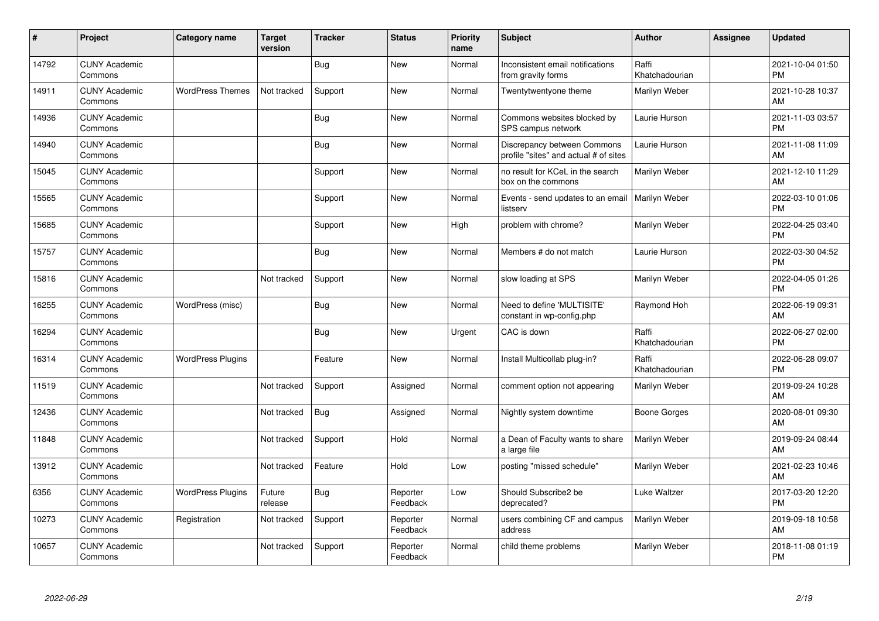| #     | Project                         | <b>Category name</b>     | <b>Target</b><br>version | <b>Tracker</b> | <b>Status</b>        | <b>Priority</b><br>name | <b>Subject</b>                                                       | <b>Author</b>           | <b>Assignee</b> | <b>Updated</b>                |
|-------|---------------------------------|--------------------------|--------------------------|----------------|----------------------|-------------------------|----------------------------------------------------------------------|-------------------------|-----------------|-------------------------------|
| 14792 | <b>CUNY Academic</b><br>Commons |                          |                          | <b>Bug</b>     | <b>New</b>           | Normal                  | Inconsistent email notifications<br>from gravity forms               | Raffi<br>Khatchadourian |                 | 2021-10-04 01:50<br><b>PM</b> |
| 14911 | <b>CUNY Academic</b><br>Commons | <b>WordPress Themes</b>  | Not tracked              | Support        | <b>New</b>           | Normal                  | Twentytwentyone theme                                                | Marilyn Weber           |                 | 2021-10-28 10:37<br>AM        |
| 14936 | <b>CUNY Academic</b><br>Commons |                          |                          | <b>Bug</b>     | <b>New</b>           | Normal                  | Commons websites blocked by<br>SPS campus network                    | Laurie Hurson           |                 | 2021-11-03 03:57<br><b>PM</b> |
| 14940 | <b>CUNY Academic</b><br>Commons |                          |                          | <b>Bug</b>     | <b>New</b>           | Normal                  | Discrepancy between Commons<br>profile "sites" and actual # of sites | Laurie Hurson           |                 | 2021-11-08 11:09<br>AM        |
| 15045 | <b>CUNY Academic</b><br>Commons |                          |                          | Support        | New                  | Normal                  | no result for KCeL in the search<br>box on the commons               | Marilyn Weber           |                 | 2021-12-10 11:29<br>AM        |
| 15565 | <b>CUNY Academic</b><br>Commons |                          |                          | Support        | <b>New</b>           | Normal                  | Events - send updates to an email<br>listserv                        | Marilyn Weber           |                 | 2022-03-10 01:06<br>PM        |
| 15685 | <b>CUNY Academic</b><br>Commons |                          |                          | Support        | <b>New</b>           | High                    | problem with chrome?                                                 | Marilyn Weber           |                 | 2022-04-25 03:40<br><b>PM</b> |
| 15757 | <b>CUNY Academic</b><br>Commons |                          |                          | <b>Bug</b>     | <b>New</b>           | Normal                  | Members # do not match                                               | Laurie Hurson           |                 | 2022-03-30 04:52<br><b>PM</b> |
| 15816 | <b>CUNY Academic</b><br>Commons |                          | Not tracked              | Support        | New                  | Normal                  | slow loading at SPS                                                  | Marilyn Weber           |                 | 2022-04-05 01:26<br><b>PM</b> |
| 16255 | <b>CUNY Academic</b><br>Commons | WordPress (misc)         |                          | Bug            | <b>New</b>           | Normal                  | Need to define 'MULTISITE'<br>constant in wp-config.php              | Raymond Hoh             |                 | 2022-06-19 09:31<br>AM        |
| 16294 | <b>CUNY Academic</b><br>Commons |                          |                          | Bug            | New                  | Urgent                  | CAC is down                                                          | Raffi<br>Khatchadourian |                 | 2022-06-27 02:00<br><b>PM</b> |
| 16314 | <b>CUNY Academic</b><br>Commons | <b>WordPress Plugins</b> |                          | Feature        | <b>New</b>           | Normal                  | Install Multicollab plug-in?                                         | Raffi<br>Khatchadourian |                 | 2022-06-28 09:07<br><b>PM</b> |
| 11519 | <b>CUNY Academic</b><br>Commons |                          | Not tracked              | Support        | Assigned             | Normal                  | comment option not appearing                                         | Marilyn Weber           |                 | 2019-09-24 10:28<br>AM        |
| 12436 | <b>CUNY Academic</b><br>Commons |                          | Not tracked              | <b>Bug</b>     | Assigned             | Normal                  | Nightly system downtime                                              | <b>Boone Gorges</b>     |                 | 2020-08-01 09:30<br>AM        |
| 11848 | <b>CUNY Academic</b><br>Commons |                          | Not tracked              | Support        | Hold                 | Normal                  | a Dean of Faculty wants to share<br>a large file                     | Marilyn Weber           |                 | 2019-09-24 08:44<br>AM        |
| 13912 | <b>CUNY Academic</b><br>Commons |                          | Not tracked              | Feature        | Hold                 | Low                     | posting "missed schedule"                                            | Marilyn Weber           |                 | 2021-02-23 10:46<br>AM        |
| 6356  | <b>CUNY Academic</b><br>Commons | <b>WordPress Plugins</b> | Future<br>release        | Bug            | Reporter<br>Feedback | Low                     | Should Subscribe2 be<br>deprecated?                                  | Luke Waltzer            |                 | 2017-03-20 12:20<br><b>PM</b> |
| 10273 | <b>CUNY Academic</b><br>Commons | Registration             | Not tracked              | Support        | Reporter<br>Feedback | Normal                  | users combining CF and campus<br>address                             | Marilyn Weber           |                 | 2019-09-18 10:58<br>AM        |
| 10657 | <b>CUNY Academic</b><br>Commons |                          | Not tracked              | Support        | Reporter<br>Feedback | Normal                  | child theme problems                                                 | Marilyn Weber           |                 | 2018-11-08 01:19<br><b>PM</b> |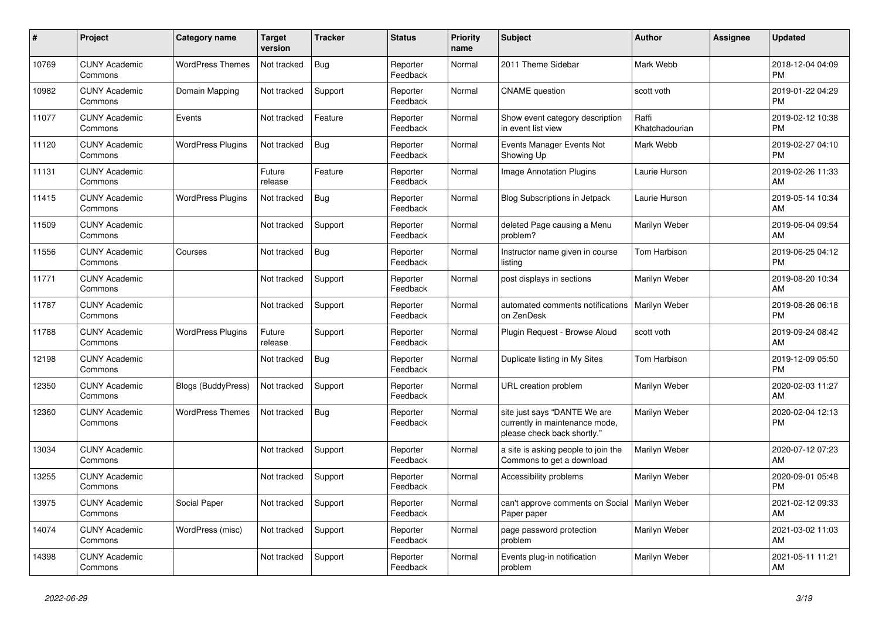| #     | Project                         | <b>Category name</b>     | <b>Target</b><br>version | <b>Tracker</b> | <b>Status</b>        | <b>Priority</b><br>name | <b>Subject</b>                                                                                | <b>Author</b>           | <b>Assignee</b> | <b>Updated</b>                |
|-------|---------------------------------|--------------------------|--------------------------|----------------|----------------------|-------------------------|-----------------------------------------------------------------------------------------------|-------------------------|-----------------|-------------------------------|
| 10769 | <b>CUNY Academic</b><br>Commons | <b>WordPress Themes</b>  | Not tracked              | <b>Bug</b>     | Reporter<br>Feedback | Normal                  | 2011 Theme Sidebar                                                                            | Mark Webb               |                 | 2018-12-04 04:09<br><b>PM</b> |
| 10982 | <b>CUNY Academic</b><br>Commons | Domain Mapping           | Not tracked              | Support        | Reporter<br>Feedback | Normal                  | <b>CNAME</b> question                                                                         | scott voth              |                 | 2019-01-22 04:29<br><b>PM</b> |
| 11077 | <b>CUNY Academic</b><br>Commons | Events                   | Not tracked              | Feature        | Reporter<br>Feedback | Normal                  | Show event category description<br>in event list view                                         | Raffi<br>Khatchadourian |                 | 2019-02-12 10:38<br><b>PM</b> |
| 11120 | <b>CUNY Academic</b><br>Commons | <b>WordPress Plugins</b> | Not tracked              | <b>Bug</b>     | Reporter<br>Feedback | Normal                  | Events Manager Events Not<br>Showing Up                                                       | Mark Webb               |                 | 2019-02-27 04:10<br><b>PM</b> |
| 11131 | <b>CUNY Academic</b><br>Commons |                          | Future<br>release        | Feature        | Reporter<br>Feedback | Normal                  | <b>Image Annotation Plugins</b>                                                               | Laurie Hurson           |                 | 2019-02-26 11:33<br>AM        |
| 11415 | <b>CUNY Academic</b><br>Commons | <b>WordPress Plugins</b> | Not tracked              | <b>Bug</b>     | Reporter<br>Feedback | Normal                  | Blog Subscriptions in Jetpack                                                                 | Laurie Hurson           |                 | 2019-05-14 10:34<br>AM        |
| 11509 | <b>CUNY Academic</b><br>Commons |                          | Not tracked              | Support        | Reporter<br>Feedback | Normal                  | deleted Page causing a Menu<br>problem?                                                       | Marilyn Weber           |                 | 2019-06-04 09:54<br>AM        |
| 11556 | <b>CUNY Academic</b><br>Commons | Courses                  | Not tracked              | <b>Bug</b>     | Reporter<br>Feedback | Normal                  | Instructor name given in course<br>listing                                                    | <b>Tom Harbison</b>     |                 | 2019-06-25 04:12<br><b>PM</b> |
| 11771 | <b>CUNY Academic</b><br>Commons |                          | Not tracked              | Support        | Reporter<br>Feedback | Normal                  | post displays in sections                                                                     | Marilyn Weber           |                 | 2019-08-20 10:34<br>AM        |
| 11787 | <b>CUNY Academic</b><br>Commons |                          | Not tracked              | Support        | Reporter<br>Feedback | Normal                  | automated comments notifications<br>on ZenDesk                                                | <b>Marilyn Weber</b>    |                 | 2019-08-26 06:18<br><b>PM</b> |
| 11788 | <b>CUNY Academic</b><br>Commons | <b>WordPress Plugins</b> | Future<br>release        | Support        | Reporter<br>Feedback | Normal                  | Plugin Request - Browse Aloud                                                                 | scott voth              |                 | 2019-09-24 08:42<br>AM        |
| 12198 | <b>CUNY Academic</b><br>Commons |                          | Not tracked              | <b>Bug</b>     | Reporter<br>Feedback | Normal                  | Duplicate listing in My Sites                                                                 | Tom Harbison            |                 | 2019-12-09 05:50<br><b>PM</b> |
| 12350 | <b>CUNY Academic</b><br>Commons | Blogs (BuddyPress)       | Not tracked              | Support        | Reporter<br>Feedback | Normal                  | URL creation problem                                                                          | Marilyn Weber           |                 | 2020-02-03 11:27<br>AM        |
| 12360 | <b>CUNY Academic</b><br>Commons | <b>WordPress Themes</b>  | Not tracked              | <b>Bug</b>     | Reporter<br>Feedback | Normal                  | site just says "DANTE We are<br>currently in maintenance mode,<br>please check back shortly." | Marilyn Weber           |                 | 2020-02-04 12:13<br><b>PM</b> |
| 13034 | <b>CUNY Academic</b><br>Commons |                          | Not tracked              | Support        | Reporter<br>Feedback | Normal                  | a site is asking people to join the<br>Commons to get a download                              | Marilyn Weber           |                 | 2020-07-12 07:23<br>AM        |
| 13255 | <b>CUNY Academic</b><br>Commons |                          | Not tracked              | Support        | Reporter<br>Feedback | Normal                  | Accessibility problems                                                                        | Marilyn Weber           |                 | 2020-09-01 05:48<br><b>PM</b> |
| 13975 | <b>CUNY Academic</b><br>Commons | Social Paper             | Not tracked              | Support        | Reporter<br>Feedback | Normal                  | can't approve comments on Social   Marilyn Weber<br>Paper paper                               |                         |                 | 2021-02-12 09:33<br>AM        |
| 14074 | <b>CUNY Academic</b><br>Commons | WordPress (misc)         | Not tracked              | Support        | Reporter<br>Feedback | Normal                  | page password protection<br>problem                                                           | Marilyn Weber           |                 | 2021-03-02 11:03<br>AM        |
| 14398 | <b>CUNY Academic</b><br>Commons |                          | Not tracked              | Support        | Reporter<br>Feedback | Normal                  | Events plug-in notification<br>problem                                                        | Marilyn Weber           |                 | 2021-05-11 11:21<br>AM        |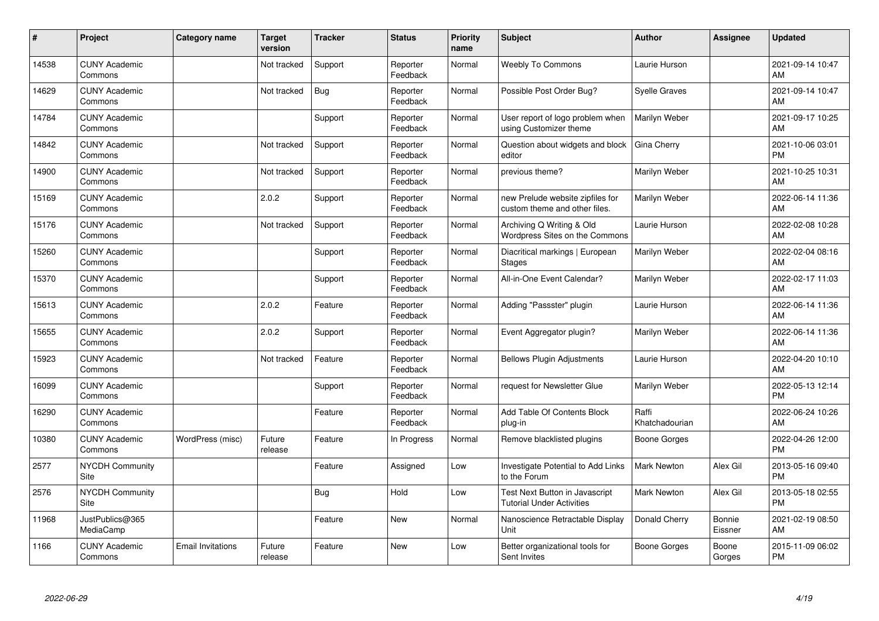| #     | Project                         | <b>Category name</b>     | <b>Target</b><br>version | <b>Tracker</b> | <b>Status</b>        | <b>Priority</b><br>name | <b>Subject</b>                                                     | Author                  | <b>Assignee</b>   | <b>Updated</b>                |
|-------|---------------------------------|--------------------------|--------------------------|----------------|----------------------|-------------------------|--------------------------------------------------------------------|-------------------------|-------------------|-------------------------------|
| 14538 | <b>CUNY Academic</b><br>Commons |                          | Not tracked              | Support        | Reporter<br>Feedback | Normal                  | <b>Weebly To Commons</b>                                           | Laurie Hurson           |                   | 2021-09-14 10:47<br>AM        |
| 14629 | <b>CUNY Academic</b><br>Commons |                          | Not tracked              | <b>Bug</b>     | Reporter<br>Feedback | Normal                  | Possible Post Order Bug?                                           | <b>Syelle Graves</b>    |                   | 2021-09-14 10:47<br>AM        |
| 14784 | <b>CUNY Academic</b><br>Commons |                          |                          | Support        | Reporter<br>Feedback | Normal                  | User report of logo problem when<br>using Customizer theme         | Marilyn Weber           |                   | 2021-09-17 10:25<br>AM        |
| 14842 | <b>CUNY Academic</b><br>Commons |                          | Not tracked              | Support        | Reporter<br>Feedback | Normal                  | Question about widgets and block<br>editor                         | Gina Cherry             |                   | 2021-10-06 03:01<br><b>PM</b> |
| 14900 | <b>CUNY Academic</b><br>Commons |                          | Not tracked              | Support        | Reporter<br>Feedback | Normal                  | previous theme?                                                    | Marilyn Weber           |                   | 2021-10-25 10:31<br>AM        |
| 15169 | <b>CUNY Academic</b><br>Commons |                          | 2.0.2                    | Support        | Reporter<br>Feedback | Normal                  | new Prelude website zipfiles for<br>custom theme and other files.  | Marilyn Weber           |                   | 2022-06-14 11:36<br>AM        |
| 15176 | <b>CUNY Academic</b><br>Commons |                          | Not tracked              | Support        | Reporter<br>Feedback | Normal                  | Archiving Q Writing & Old<br>Wordpress Sites on the Commons        | Laurie Hurson           |                   | 2022-02-08 10:28<br>AM        |
| 15260 | <b>CUNY Academic</b><br>Commons |                          |                          | Support        | Reporter<br>Feedback | Normal                  | Diacritical markings   European<br><b>Stages</b>                   | Marilyn Weber           |                   | 2022-02-04 08:16<br>AM        |
| 15370 | <b>CUNY Academic</b><br>Commons |                          |                          | Support        | Reporter<br>Feedback | Normal                  | All-in-One Event Calendar?                                         | Marilyn Weber           |                   | 2022-02-17 11:03<br>AM        |
| 15613 | <b>CUNY Academic</b><br>Commons |                          | 2.0.2                    | Feature        | Reporter<br>Feedback | Normal                  | Adding "Passster" plugin                                           | Laurie Hurson           |                   | 2022-06-14 11:36<br>AM        |
| 15655 | <b>CUNY Academic</b><br>Commons |                          | 2.0.2                    | Support        | Reporter<br>Feedback | Normal                  | Event Aggregator plugin?                                           | Marilyn Weber           |                   | 2022-06-14 11:36<br>AM        |
| 15923 | <b>CUNY Academic</b><br>Commons |                          | Not tracked              | Feature        | Reporter<br>Feedback | Normal                  | <b>Bellows Plugin Adjustments</b>                                  | Laurie Hurson           |                   | 2022-04-20 10:10<br>AM        |
| 16099 | <b>CUNY Academic</b><br>Commons |                          |                          | Support        | Reporter<br>Feedback | Normal                  | request for Newsletter Glue                                        | Marilyn Weber           |                   | 2022-05-13 12:14<br><b>PM</b> |
| 16290 | <b>CUNY Academic</b><br>Commons |                          |                          | Feature        | Reporter<br>Feedback | Normal                  | Add Table Of Contents Block<br>plug-in                             | Raffi<br>Khatchadourian |                   | 2022-06-24 10:26<br>AM        |
| 10380 | <b>CUNY Academic</b><br>Commons | WordPress (misc)         | Future<br>release        | Feature        | In Progress          | Normal                  | Remove blacklisted plugins                                         | Boone Gorges            |                   | 2022-04-26 12:00<br><b>PM</b> |
| 2577  | <b>NYCDH Community</b><br>Site  |                          |                          | Feature        | Assigned             | Low                     | <b>Investigate Potential to Add Links</b><br>to the Forum          | <b>Mark Newton</b>      | Alex Gil          | 2013-05-16 09:40<br><b>PM</b> |
| 2576  | <b>NYCDH Community</b><br>Site  |                          |                          | <b>Bug</b>     | Hold                 | Low                     | Test Next Button in Javascript<br><b>Tutorial Under Activities</b> | <b>Mark Newton</b>      | Alex Gil          | 2013-05-18 02:55<br><b>PM</b> |
| 11968 | JustPublics@365<br>MediaCamp    |                          |                          | Feature        | <b>New</b>           | Normal                  | Nanoscience Retractable Display<br>Unit                            | Donald Cherry           | Bonnie<br>Eissner | 2021-02-19 08:50<br>AM        |
| 1166  | <b>CUNY Academic</b><br>Commons | <b>Email Invitations</b> | Future<br>release        | Feature        | <b>New</b>           | Low                     | Better organizational tools for<br>Sent Invites                    | Boone Gorges            | Boone<br>Gorges   | 2015-11-09 06:02<br>PM        |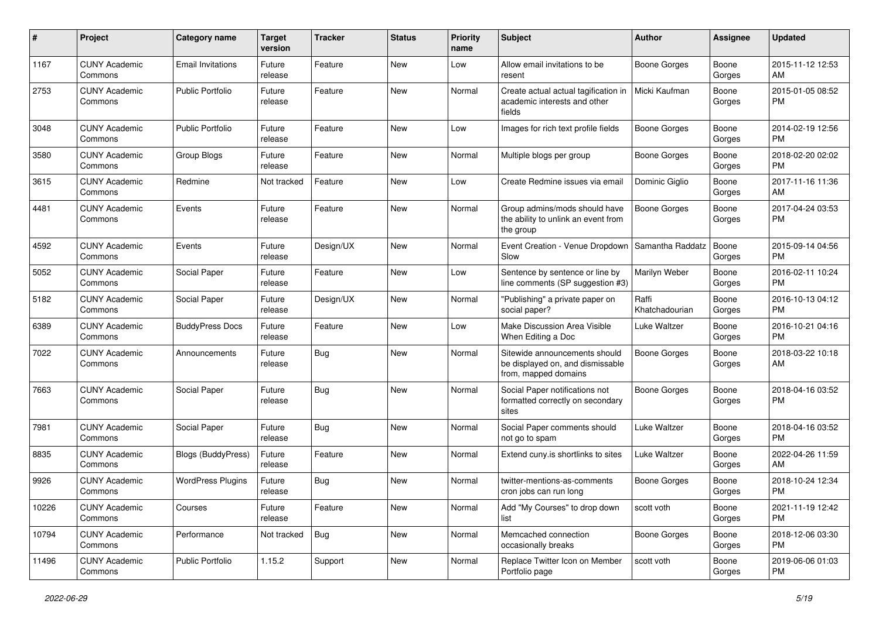| #     | Project                         | Category name             | <b>Target</b><br>version | <b>Tracker</b> | <b>Status</b> | <b>Priority</b><br>name | Subject                                                                                   | <b>Author</b>           | <b>Assignee</b> | <b>Updated</b>                |
|-------|---------------------------------|---------------------------|--------------------------|----------------|---------------|-------------------------|-------------------------------------------------------------------------------------------|-------------------------|-----------------|-------------------------------|
| 1167  | <b>CUNY Academic</b><br>Commons | <b>Email Invitations</b>  | Future<br>release        | Feature        | <b>New</b>    | Low                     | Allow email invitations to be<br>resent                                                   | <b>Boone Gorges</b>     | Boone<br>Gorges | 2015-11-12 12:53<br>AM        |
| 2753  | <b>CUNY Academic</b><br>Commons | <b>Public Portfolio</b>   | Future<br>release        | Feature        | New           | Normal                  | Create actual actual tagification in<br>academic interests and other<br>fields            | Micki Kaufman           | Boone<br>Gorges | 2015-01-05 08:52<br><b>PM</b> |
| 3048  | <b>CUNY Academic</b><br>Commons | <b>Public Portfolio</b>   | Future<br>release        | Feature        | New           | Low                     | Images for rich text profile fields                                                       | <b>Boone Gorges</b>     | Boone<br>Gorges | 2014-02-19 12:56<br><b>PM</b> |
| 3580  | <b>CUNY Academic</b><br>Commons | Group Blogs               | Future<br>release        | Feature        | New           | Normal                  | Multiple blogs per group                                                                  | Boone Gorges            | Boone<br>Gorges | 2018-02-20 02:02<br><b>PM</b> |
| 3615  | <b>CUNY Academic</b><br>Commons | Redmine                   | Not tracked              | Feature        | New           | Low                     | Create Redmine issues via email                                                           | Dominic Giglio          | Boone<br>Gorges | 2017-11-16 11:36<br>AM        |
| 4481  | <b>CUNY Academic</b><br>Commons | Events                    | Future<br>release        | Feature        | New           | Normal                  | Group admins/mods should have<br>the ability to unlink an event from<br>the group         | Boone Gorges            | Boone<br>Gorges | 2017-04-24 03:53<br><b>PM</b> |
| 4592  | <b>CUNY Academic</b><br>Commons | Events                    | Future<br>release        | Design/UX      | New           | Normal                  | Event Creation - Venue Dropdown<br>Slow                                                   | Samantha Raddatz        | Boone<br>Gorges | 2015-09-14 04:56<br><b>PM</b> |
| 5052  | <b>CUNY Academic</b><br>Commons | Social Paper              | Future<br>release        | Feature        | <b>New</b>    | Low                     | Sentence by sentence or line by<br>line comments (SP suggestion #3)                       | Marilyn Weber           | Boone<br>Gorges | 2016-02-11 10:24<br><b>PM</b> |
| 5182  | <b>CUNY Academic</b><br>Commons | Social Paper              | Future<br>release        | Design/UX      | New           | Normal                  | "Publishing" a private paper on<br>social paper?                                          | Raffi<br>Khatchadourian | Boone<br>Gorges | 2016-10-13 04:12<br><b>PM</b> |
| 6389  | <b>CUNY Academic</b><br>Commons | <b>BuddyPress Docs</b>    | Future<br>release        | Feature        | <b>New</b>    | Low                     | Make Discussion Area Visible<br>When Editing a Doc                                        | <b>Luke Waltzer</b>     | Boone<br>Gorges | 2016-10-21 04:16<br><b>PM</b> |
| 7022  | <b>CUNY Academic</b><br>Commons | Announcements             | Future<br>release        | <b>Bug</b>     | New           | Normal                  | Sitewide announcements should<br>be displayed on, and dismissable<br>from, mapped domains | <b>Boone Gorges</b>     | Boone<br>Gorges | 2018-03-22 10:18<br>AM        |
| 7663  | <b>CUNY Academic</b><br>Commons | Social Paper              | Future<br>release        | <b>Bug</b>     | <b>New</b>    | Normal                  | Social Paper notifications not<br>formatted correctly on secondary<br>sites               | <b>Boone Gorges</b>     | Boone<br>Gorges | 2018-04-16 03:52<br><b>PM</b> |
| 7981  | <b>CUNY Academic</b><br>Commons | Social Paper              | Future<br>release        | <b>Bug</b>     | New           | Normal                  | Social Paper comments should<br>not go to spam                                            | <b>Luke Waltzer</b>     | Boone<br>Gorges | 2018-04-16 03:52<br><b>PM</b> |
| 8835  | <b>CUNY Academic</b><br>Commons | <b>Blogs (BuddyPress)</b> | Future<br>release        | Feature        | New           | Normal                  | Extend cuny is shortlinks to sites                                                        | <b>Luke Waltzer</b>     | Boone<br>Gorges | 2022-04-26 11:59<br>AM        |
| 9926  | <b>CUNY Academic</b><br>Commons | <b>WordPress Plugins</b>  | Future<br>release        | Bug            | New           | Normal                  | twitter-mentions-as-comments<br>cron jobs can run long                                    | <b>Boone Gorges</b>     | Boone<br>Gorges | 2018-10-24 12:34<br><b>PM</b> |
| 10226 | <b>CUNY Academic</b><br>Commons | Courses                   | Future<br>release        | Feature        | New           | Normal                  | Add "My Courses" to drop down<br>list                                                     | scott voth              | Boone<br>Gorges | 2021-11-19 12:42<br><b>PM</b> |
| 10794 | <b>CUNY Academic</b><br>Commons | Performance               | Not tracked              | Bug            | New           | Normal                  | Memcached connection<br>occasionally breaks                                               | <b>Boone Gorges</b>     | Boone<br>Gorges | 2018-12-06 03:30<br><b>PM</b> |
| 11496 | <b>CUNY Academic</b><br>Commons | Public Portfolio          | 1.15.2                   | Support        | New           | Normal                  | Replace Twitter Icon on Member<br>Portfolio page                                          | scott voth              | Boone<br>Gorges | 2019-06-06 01:03<br><b>PM</b> |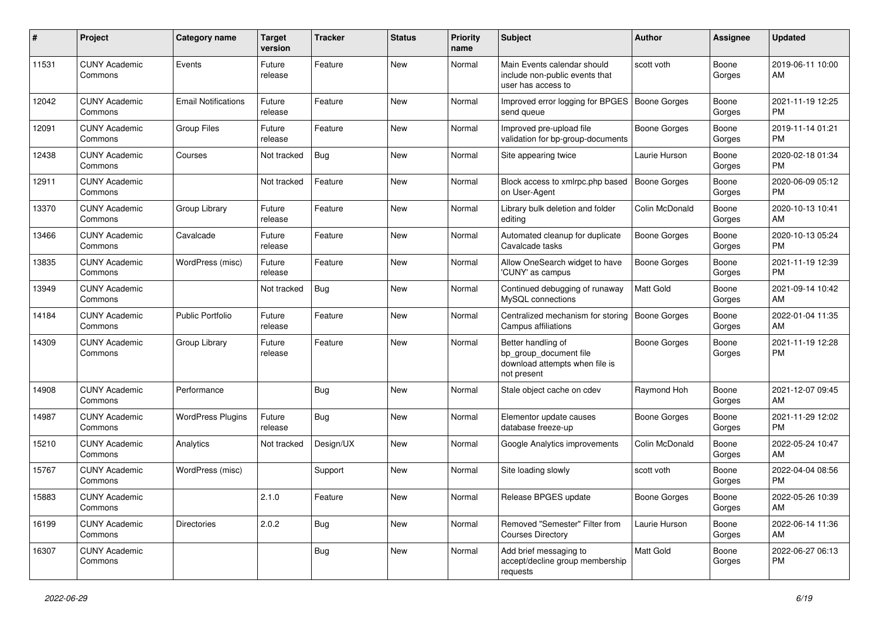| #     | Project                         | Category name              | <b>Target</b><br>version | <b>Tracker</b> | <b>Status</b> | <b>Priority</b><br>name | Subject                                                                                       | <b>Author</b>       | <b>Assignee</b> | <b>Updated</b>                |
|-------|---------------------------------|----------------------------|--------------------------|----------------|---------------|-------------------------|-----------------------------------------------------------------------------------------------|---------------------|-----------------|-------------------------------|
| 11531 | <b>CUNY Academic</b><br>Commons | Events                     | Future<br>release        | Feature        | New           | Normal                  | Main Events calendar should<br>include non-public events that<br>user has access to           | scott voth          | Boone<br>Gorges | 2019-06-11 10:00<br>AM        |
| 12042 | <b>CUNY Academic</b><br>Commons | <b>Email Notifications</b> | Future<br>release        | Feature        | New           | Normal                  | Improved error logging for BPGES<br>send queue                                                | <b>Boone Gorges</b> | Boone<br>Gorges | 2021-11-19 12:25<br><b>PM</b> |
| 12091 | <b>CUNY Academic</b><br>Commons | Group Files                | Future<br>release        | Feature        | New           | Normal                  | Improved pre-upload file<br>validation for bp-group-documents                                 | <b>Boone Gorges</b> | Boone<br>Gorges | 2019-11-14 01:21<br><b>PM</b> |
| 12438 | <b>CUNY Academic</b><br>Commons | Courses                    | Not tracked              | Bug            | New           | Normal                  | Site appearing twice                                                                          | Laurie Hurson       | Boone<br>Gorges | 2020-02-18 01:34<br><b>PM</b> |
| 12911 | <b>CUNY Academic</b><br>Commons |                            | Not tracked              | Feature        | New           | Normal                  | Block access to xmlrpc.php based<br>on User-Agent                                             | Boone Gorges        | Boone<br>Gorges | 2020-06-09 05:12<br><b>PM</b> |
| 13370 | <b>CUNY Academic</b><br>Commons | Group Library              | Future<br>release        | Feature        | New           | Normal                  | Library bulk deletion and folder<br>editing                                                   | Colin McDonald      | Boone<br>Gorges | 2020-10-13 10:41<br>AM        |
| 13466 | <b>CUNY Academic</b><br>Commons | Cavalcade                  | Future<br>release        | Feature        | <b>New</b>    | Normal                  | Automated cleanup for duplicate<br>Cavalcade tasks                                            | <b>Boone Gorges</b> | Boone<br>Gorges | 2020-10-13 05:24<br><b>PM</b> |
| 13835 | <b>CUNY Academic</b><br>Commons | WordPress (misc)           | Future<br>release        | Feature        | <b>New</b>    | Normal                  | Allow OneSearch widget to have<br>'CUNY' as campus                                            | <b>Boone Gorges</b> | Boone<br>Gorges | 2021-11-19 12:39<br><b>PM</b> |
| 13949 | <b>CUNY Academic</b><br>Commons |                            | Not tracked              | Bug            | <b>New</b>    | Normal                  | Continued debugging of runaway<br>MySQL connections                                           | Matt Gold           | Boone<br>Gorges | 2021-09-14 10:42<br>AM        |
| 14184 | <b>CUNY Academic</b><br>Commons | <b>Public Portfolio</b>    | Future<br>release        | Feature        | New           | Normal                  | Centralized mechanism for storing<br>Campus affiliations                                      | <b>Boone Gorges</b> | Boone<br>Gorges | 2022-01-04 11:35<br>AM        |
| 14309 | <b>CUNY Academic</b><br>Commons | Group Library              | Future<br>release        | Feature        | New           | Normal                  | Better handling of<br>bp_group_document file<br>download attempts when file is<br>not present | Boone Gorges        | Boone<br>Gorges | 2021-11-19 12:28<br><b>PM</b> |
| 14908 | <b>CUNY Academic</b><br>Commons | Performance                |                          | Bug            | <b>New</b>    | Normal                  | Stale object cache on cdev                                                                    | Raymond Hoh         | Boone<br>Gorges | 2021-12-07 09:45<br>AM        |
| 14987 | <b>CUNY Academic</b><br>Commons | <b>WordPress Plugins</b>   | Future<br>release        | Bug            | <b>New</b>    | Normal                  | Elementor update causes<br>database freeze-up                                                 | <b>Boone Gorges</b> | Boone<br>Gorges | 2021-11-29 12:02<br><b>PM</b> |
| 15210 | <b>CUNY Academic</b><br>Commons | Analytics                  | Not tracked              | Design/UX      | <b>New</b>    | Normal                  | Google Analytics improvements                                                                 | Colin McDonald      | Boone<br>Gorges | 2022-05-24 10:47<br>AM        |
| 15767 | <b>CUNY Academic</b><br>Commons | WordPress (misc)           |                          | Support        | <b>New</b>    | Normal                  | Site loading slowly                                                                           | scott voth          | Boone<br>Gorges | 2022-04-04 08:56<br>PM        |
| 15883 | <b>CUNY Academic</b><br>Commons |                            | 2.1.0                    | Feature        | New           | Normal                  | Release BPGES update                                                                          | Boone Gorges        | Boone<br>Gorges | 2022-05-26 10:39<br>AM        |
| 16199 | <b>CUNY Academic</b><br>Commons | Directories                | 2.0.2                    | <b>Bug</b>     | New           | Normal                  | Removed "Semester" Filter from<br><b>Courses Directory</b>                                    | Laurie Hurson       | Boone<br>Gorges | 2022-06-14 11:36<br>AM        |
| 16307 | <b>CUNY Academic</b><br>Commons |                            |                          | Bug            | New           | Normal                  | Add brief messaging to<br>accept/decline group membership<br>requests                         | Matt Gold           | Boone<br>Gorges | 2022-06-27 06:13<br>PM        |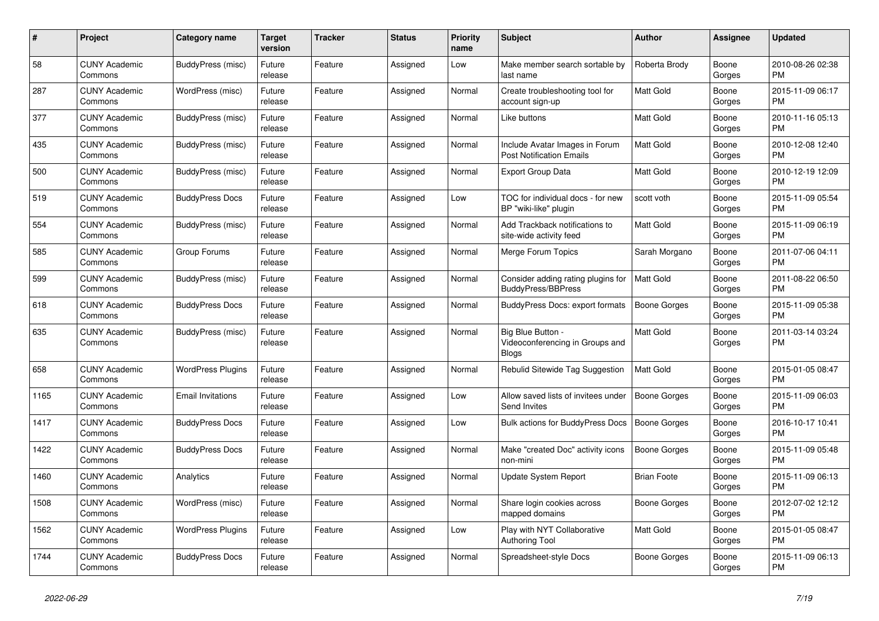| $\#$ | Project                         | Category name            | Target<br>version | <b>Tracker</b> | <b>Status</b> | <b>Priority</b><br>name | <b>Subject</b>                                                       | <b>Author</b>       | Assignee        | <b>Updated</b>                |
|------|---------------------------------|--------------------------|-------------------|----------------|---------------|-------------------------|----------------------------------------------------------------------|---------------------|-----------------|-------------------------------|
| 58   | <b>CUNY Academic</b><br>Commons | BuddyPress (misc)        | Future<br>release | Feature        | Assigned      | Low                     | Make member search sortable by<br>last name                          | Roberta Brody       | Boone<br>Gorges | 2010-08-26 02:38<br><b>PM</b> |
| 287  | <b>CUNY Academic</b><br>Commons | WordPress (misc)         | Future<br>release | Feature        | Assigned      | Normal                  | Create troubleshooting tool for<br>account sign-up                   | <b>Matt Gold</b>    | Boone<br>Gorges | 2015-11-09 06:17<br><b>PM</b> |
| 377  | <b>CUNY Academic</b><br>Commons | BuddyPress (misc)        | Future<br>release | Feature        | Assigned      | Normal                  | Like buttons                                                         | Matt Gold           | Boone<br>Gorges | 2010-11-16 05:13<br><b>PM</b> |
| 435  | <b>CUNY Academic</b><br>Commons | <b>BuddyPress</b> (misc) | Future<br>release | Feature        | Assigned      | Normal                  | Include Avatar Images in Forum<br><b>Post Notification Emails</b>    | <b>Matt Gold</b>    | Boone<br>Gorges | 2010-12-08 12:40<br><b>PM</b> |
| 500  | <b>CUNY Academic</b><br>Commons | <b>BuddyPress (misc)</b> | Future<br>release | Feature        | Assigned      | Normal                  | Export Group Data                                                    | Matt Gold           | Boone<br>Gorges | 2010-12-19 12:09<br><b>PM</b> |
| 519  | <b>CUNY Academic</b><br>Commons | <b>BuddyPress Docs</b>   | Future<br>release | Feature        | Assigned      | Low                     | TOC for individual docs - for new<br>BP "wiki-like" plugin           | scott voth          | Boone<br>Gorges | 2015-11-09 05:54<br><b>PM</b> |
| 554  | <b>CUNY Academic</b><br>Commons | BuddyPress (misc)        | Future<br>release | Feature        | Assigned      | Normal                  | Add Trackback notifications to<br>site-wide activity feed            | <b>Matt Gold</b>    | Boone<br>Gorges | 2015-11-09 06:19<br><b>PM</b> |
| 585  | <b>CUNY Academic</b><br>Commons | Group Forums             | Future<br>release | Feature        | Assigned      | Normal                  | Merge Forum Topics                                                   | Sarah Morgano       | Boone<br>Gorges | 2011-07-06 04:11<br><b>PM</b> |
| 599  | <b>CUNY Academic</b><br>Commons | BuddyPress (misc)        | Future<br>release | Feature        | Assigned      | Normal                  | Consider adding rating plugins for<br>BuddyPress/BBPress             | Matt Gold           | Boone<br>Gorges | 2011-08-22 06:50<br><b>PM</b> |
| 618  | <b>CUNY Academic</b><br>Commons | <b>BuddyPress Docs</b>   | Future<br>release | Feature        | Assigned      | Normal                  | BuddyPress Docs: export formats                                      | <b>Boone Gorges</b> | Boone<br>Gorges | 2015-11-09 05:38<br><b>PM</b> |
| 635  | <b>CUNY Academic</b><br>Commons | BuddyPress (misc)        | Future<br>release | Feature        | Assigned      | Normal                  | Big Blue Button -<br>Videoconferencing in Groups and<br><b>Blogs</b> | Matt Gold           | Boone<br>Gorges | 2011-03-14 03:24<br><b>PM</b> |
| 658  | <b>CUNY Academic</b><br>Commons | <b>WordPress Plugins</b> | Future<br>release | Feature        | Assigned      | Normal                  | Rebulid Sitewide Tag Suggestion                                      | <b>Matt Gold</b>    | Boone<br>Gorges | 2015-01-05 08:47<br><b>PM</b> |
| 1165 | <b>CUNY Academic</b><br>Commons | <b>Email Invitations</b> | Future<br>release | Feature        | Assigned      | Low                     | Allow saved lists of invitees under<br>Send Invites                  | Boone Gorges        | Boone<br>Gorges | 2015-11-09 06:03<br><b>PM</b> |
| 1417 | <b>CUNY Academic</b><br>Commons | <b>BuddyPress Docs</b>   | Future<br>release | Feature        | Assigned      | Low                     | <b>Bulk actions for BuddyPress Docs</b>                              | Boone Gorges        | Boone<br>Gorges | 2016-10-17 10:41<br><b>PM</b> |
| 1422 | <b>CUNY Academic</b><br>Commons | <b>BuddyPress Docs</b>   | Future<br>release | Feature        | Assigned      | Normal                  | Make "created Doc" activity icons<br>non-mini                        | Boone Gorges        | Boone<br>Gorges | 2015-11-09 05:48<br><b>PM</b> |
| 1460 | <b>CUNY Academic</b><br>Commons | Analytics                | Future<br>release | Feature        | Assigned      | Normal                  | Update System Report                                                 | <b>Brian Foote</b>  | Boone<br>Gorges | 2015-11-09 06:13<br><b>PM</b> |
| 1508 | <b>CUNY Academic</b><br>Commons | WordPress (misc)         | Future<br>release | Feature        | Assigned      | Normal                  | Share login cookies across<br>mapped domains                         | Boone Gorges        | Boone<br>Gorges | 2012-07-02 12:12<br><b>PM</b> |
| 1562 | <b>CUNY Academic</b><br>Commons | <b>WordPress Plugins</b> | Future<br>release | Feature        | Assigned      | Low                     | Play with NYT Collaborative<br><b>Authoring Tool</b>                 | <b>Matt Gold</b>    | Boone<br>Gorges | 2015-01-05 08:47<br><b>PM</b> |
| 1744 | <b>CUNY Academic</b><br>Commons | <b>BuddyPress Docs</b>   | Future<br>release | Feature        | Assigned      | Normal                  | Spreadsheet-style Docs                                               | Boone Gorges        | Boone<br>Gorges | 2015-11-09 06:13<br><b>PM</b> |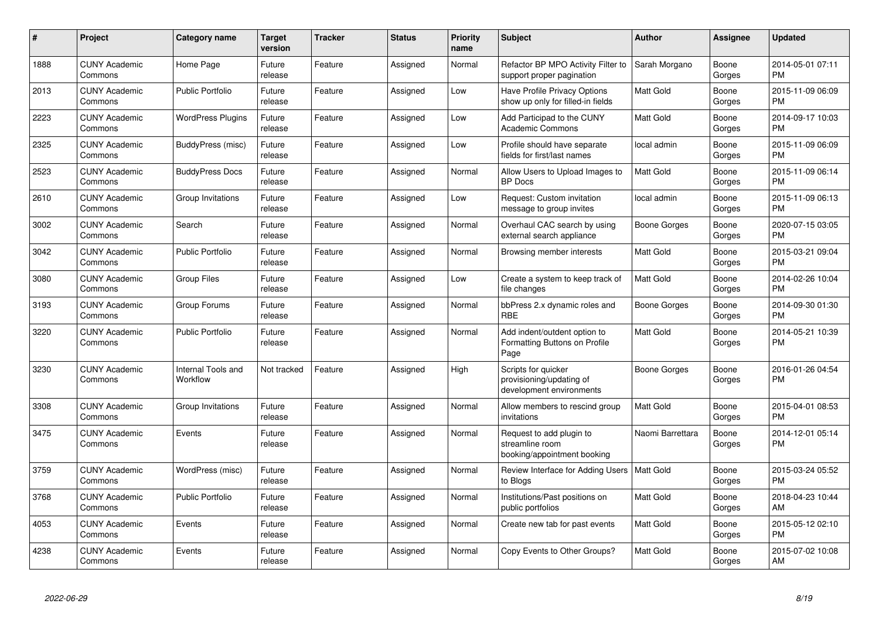| #    | Project                         | Category name                  | <b>Target</b><br>version | <b>Tracker</b> | <b>Status</b> | <b>Priority</b><br>name | <b>Subject</b>                                                              | Author           | Assignee        | <b>Updated</b>                |
|------|---------------------------------|--------------------------------|--------------------------|----------------|---------------|-------------------------|-----------------------------------------------------------------------------|------------------|-----------------|-------------------------------|
| 1888 | <b>CUNY Academic</b><br>Commons | Home Page                      | Future<br>release        | Feature        | Assigned      | Normal                  | Refactor BP MPO Activity Filter to<br>support proper pagination             | Sarah Morgano    | Boone<br>Gorges | 2014-05-01 07:11<br><b>PM</b> |
| 2013 | <b>CUNY Academic</b><br>Commons | <b>Public Portfolio</b>        | Future<br>release        | Feature        | Assigned      | Low                     | Have Profile Privacy Options<br>show up only for filled-in fields           | <b>Matt Gold</b> | Boone<br>Gorges | 2015-11-09 06:09<br><b>PM</b> |
| 2223 | <b>CUNY Academic</b><br>Commons | <b>WordPress Plugins</b>       | Future<br>release        | Feature        | Assigned      | Low                     | Add Participad to the CUNY<br><b>Academic Commons</b>                       | Matt Gold        | Boone<br>Gorges | 2014-09-17 10:03<br><b>PM</b> |
| 2325 | <b>CUNY Academic</b><br>Commons | BuddyPress (misc)              | Future<br>release        | Feature        | Assigned      | Low                     | Profile should have separate<br>fields for first/last names                 | local admin      | Boone<br>Gorges | 2015-11-09 06:09<br><b>PM</b> |
| 2523 | <b>CUNY Academic</b><br>Commons | <b>BuddyPress Docs</b>         | Future<br>release        | Feature        | Assigned      | Normal                  | Allow Users to Upload Images to<br><b>BP</b> Docs                           | <b>Matt Gold</b> | Boone<br>Gorges | 2015-11-09 06:14<br><b>PM</b> |
| 2610 | <b>CUNY Academic</b><br>Commons | Group Invitations              | Future<br>release        | Feature        | Assigned      | Low                     | Request: Custom invitation<br>message to group invites                      | local admin      | Boone<br>Gorges | 2015-11-09 06:13<br><b>PM</b> |
| 3002 | <b>CUNY Academic</b><br>Commons | Search                         | Future<br>release        | Feature        | Assigned      | Normal                  | Overhaul CAC search by using<br>external search appliance                   | Boone Gorges     | Boone<br>Gorges | 2020-07-15 03:05<br><b>PM</b> |
| 3042 | <b>CUNY Academic</b><br>Commons | <b>Public Portfolio</b>        | Future<br>release        | Feature        | Assigned      | Normal                  | Browsing member interests                                                   | <b>Matt Gold</b> | Boone<br>Gorges | 2015-03-21 09:04<br><b>PM</b> |
| 3080 | <b>CUNY Academic</b><br>Commons | Group Files                    | Future<br>release        | Feature        | Assigned      | Low                     | Create a system to keep track of<br>file changes                            | Matt Gold        | Boone<br>Gorges | 2014-02-26 10:04<br><b>PM</b> |
| 3193 | <b>CUNY Academic</b><br>Commons | Group Forums                   | Future<br>release        | Feature        | Assigned      | Normal                  | bbPress 2.x dynamic roles and<br>RBE                                        | Boone Gorges     | Boone<br>Gorges | 2014-09-30 01:30<br><b>PM</b> |
| 3220 | <b>CUNY Academic</b><br>Commons | <b>Public Portfolio</b>        | Future<br>release        | Feature        | Assigned      | Normal                  | Add indent/outdent option to<br>Formatting Buttons on Profile<br>Page       | <b>Matt Gold</b> | Boone<br>Gorges | 2014-05-21 10:39<br><b>PM</b> |
| 3230 | <b>CUNY Academic</b><br>Commons | Internal Tools and<br>Workflow | Not tracked              | Feature        | Assigned      | High                    | Scripts for quicker<br>provisioning/updating of<br>development environments | Boone Gorges     | Boone<br>Gorges | 2016-01-26 04:54<br><b>PM</b> |
| 3308 | <b>CUNY Academic</b><br>Commons | Group Invitations              | Future<br>release        | Feature        | Assigned      | Normal                  | Allow members to rescind group<br>invitations                               | <b>Matt Gold</b> | Boone<br>Gorges | 2015-04-01 08:53<br><b>PM</b> |
| 3475 | <b>CUNY Academic</b><br>Commons | Events                         | Future<br>release        | Feature        | Assigned      | Normal                  | Request to add plugin to<br>streamline room<br>booking/appointment booking  | Naomi Barrettara | Boone<br>Gorges | 2014-12-01 05:14<br><b>PM</b> |
| 3759 | <b>CUNY Academic</b><br>Commons | WordPress (misc)               | Future<br>release        | Feature        | Assigned      | Normal                  | Review Interface for Adding Users<br>to Blogs                               | <b>Matt Gold</b> | Boone<br>Gorges | 2015-03-24 05:52<br><b>PM</b> |
| 3768 | <b>CUNY Academic</b><br>Commons | <b>Public Portfolio</b>        | Future<br>release        | Feature        | Assigned      | Normal                  | Institutions/Past positions on<br>public portfolios                         | Matt Gold        | Boone<br>Gorges | 2018-04-23 10:44<br>AM        |
| 4053 | <b>CUNY Academic</b><br>Commons | Events                         | Future<br>release        | Feature        | Assigned      | Normal                  | Create new tab for past events                                              | Matt Gold        | Boone<br>Gorges | 2015-05-12 02:10<br><b>PM</b> |
| 4238 | <b>CUNY Academic</b><br>Commons | Events                         | Future<br>release        | Feature        | Assigned      | Normal                  | Copy Events to Other Groups?                                                | <b>Matt Gold</b> | Boone<br>Gorges | 2015-07-02 10:08<br>AM        |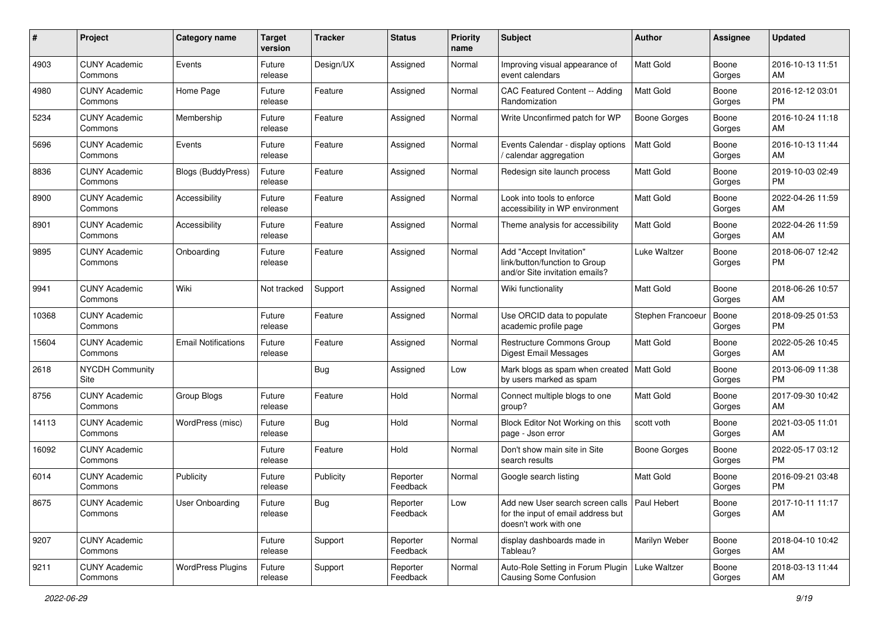| #     | Project                         | <b>Category name</b>       | <b>Target</b><br>version | <b>Tracker</b> | <b>Status</b>        | <b>Priority</b><br>name | Subject                                                                                                       | Author              | <b>Assignee</b> | <b>Updated</b>                |
|-------|---------------------------------|----------------------------|--------------------------|----------------|----------------------|-------------------------|---------------------------------------------------------------------------------------------------------------|---------------------|-----------------|-------------------------------|
| 4903  | <b>CUNY Academic</b><br>Commons | Events                     | Future<br>release        | Design/UX      | Assigned             | Normal                  | Improving visual appearance of<br>event calendars                                                             | <b>Matt Gold</b>    | Boone<br>Gorges | 2016-10-13 11:51<br>AM        |
| 4980  | <b>CUNY Academic</b><br>Commons | Home Page                  | Future<br>release        | Feature        | Assigned             | Normal                  | CAC Featured Content -- Adding<br>Randomization                                                               | <b>Matt Gold</b>    | Boone<br>Gorges | 2016-12-12 03:01<br><b>PM</b> |
| 5234  | <b>CUNY Academic</b><br>Commons | Membership                 | Future<br>release        | Feature        | Assigned             | Normal                  | Write Unconfirmed patch for WP                                                                                | <b>Boone Gorges</b> | Boone<br>Gorges | 2016-10-24 11:18<br>AM        |
| 5696  | <b>CUNY Academic</b><br>Commons | Events                     | Future<br>release        | Feature        | Assigned             | Normal                  | Events Calendar - display options<br>calendar aggregation                                                     | <b>Matt Gold</b>    | Boone<br>Gorges | 2016-10-13 11:44<br>AM        |
| 8836  | <b>CUNY Academic</b><br>Commons | <b>Blogs (BuddyPress)</b>  | Future<br>release        | Feature        | Assigned             | Normal                  | Redesign site launch process                                                                                  | <b>Matt Gold</b>    | Boone<br>Gorges | 2019-10-03 02:49<br><b>PM</b> |
| 8900  | <b>CUNY Academic</b><br>Commons | Accessibility              | Future<br>release        | Feature        | Assigned             | Normal                  | Look into tools to enforce<br>accessibility in WP environment                                                 | <b>Matt Gold</b>    | Boone<br>Gorges | 2022-04-26 11:59<br>AM        |
| 8901  | <b>CUNY Academic</b><br>Commons | Accessibility              | Future<br>release        | Feature        | Assigned             | Normal                  | Theme analysis for accessibility                                                                              | Matt Gold           | Boone<br>Gorges | 2022-04-26 11:59<br>AM        |
| 9895  | <b>CUNY Academic</b><br>Commons | Onboarding                 | Future<br>release        | Feature        | Assigned             | Normal                  | Add "Accept Invitation"<br>link/button/function to Group<br>and/or Site invitation emails?                    | <b>Luke Waltzer</b> | Boone<br>Gorges | 2018-06-07 12:42<br><b>PM</b> |
| 9941  | <b>CUNY Academic</b><br>Commons | Wiki                       | Not tracked              | Support        | Assigned             | Normal                  | Wiki functionality                                                                                            | <b>Matt Gold</b>    | Boone<br>Gorges | 2018-06-26 10:57<br>AM        |
| 10368 | <b>CUNY Academic</b><br>Commons |                            | Future<br>release        | Feature        | Assigned             | Normal                  | Use ORCID data to populate<br>academic profile page                                                           | Stephen Francoeur   | Boone<br>Gorges | 2018-09-25 01:53<br><b>PM</b> |
| 15604 | <b>CUNY Academic</b><br>Commons | <b>Email Notifications</b> | Future<br>release        | Feature        | Assigned             | Normal                  | Restructure Commons Group<br><b>Digest Email Messages</b>                                                     | Matt Gold           | Boone<br>Gorges | 2022-05-26 10:45<br>AM        |
| 2618  | <b>NYCDH Community</b><br>Site  |                            |                          | <b>Bug</b>     | Assigned             | Low                     | Mark blogs as spam when created<br>by users marked as spam                                                    | Matt Gold           | Boone<br>Gorges | 2013-06-09 11:38<br><b>PM</b> |
| 8756  | <b>CUNY Academic</b><br>Commons | Group Blogs                | Future<br>release        | Feature        | Hold                 | Normal                  | Connect multiple blogs to one<br>group?                                                                       | <b>Matt Gold</b>    | Boone<br>Gorges | 2017-09-30 10:42<br>AM        |
| 14113 | <b>CUNY Academic</b><br>Commons | WordPress (misc)           | Future<br>release        | <b>Bug</b>     | Hold                 | Normal                  | Block Editor Not Working on this<br>page - Json error                                                         | scott voth          | Boone<br>Gorges | 2021-03-05 11:01<br>AM        |
| 16092 | <b>CUNY Academic</b><br>Commons |                            | Future<br>release        | Feature        | Hold                 | Normal                  | Don't show main site in Site<br>search results                                                                | <b>Boone Gorges</b> | Boone<br>Gorges | 2022-05-17 03:12<br><b>PM</b> |
| 6014  | <b>CUNY Academic</b><br>Commons | Publicity                  | Future<br>release        | Publicity      | Reporter<br>Feedback | Normal                  | Google search listing                                                                                         | <b>Matt Gold</b>    | Boone<br>Gorges | 2016-09-21 03:48<br>PM        |
| 8675  | <b>CUNY Academic</b><br>Commons | <b>User Onboarding</b>     | Future<br>release        | <b>Bug</b>     | Reporter<br>Feedback | Low                     | Add new User search screen calls   Paul Hebert<br>for the input of email address but<br>doesn't work with one |                     | Boone<br>Gorges | 2017-10-11 11:17<br>AM        |
| 9207  | <b>CUNY Academic</b><br>Commons |                            | Future<br>release        | Support        | Reporter<br>Feedback | Normal                  | display dashboards made in<br>Tableau?                                                                        | Marilyn Weber       | Boone<br>Gorges | 2018-04-10 10:42<br>AM        |
| 9211  | <b>CUNY Academic</b><br>Commons | <b>WordPress Plugins</b>   | Future<br>release        | Support        | Reporter<br>Feedback | Normal                  | Auto-Role Setting in Forum Plugin   Luke Waltzer<br><b>Causing Some Confusion</b>                             |                     | Boone<br>Gorges | 2018-03-13 11:44<br>AM        |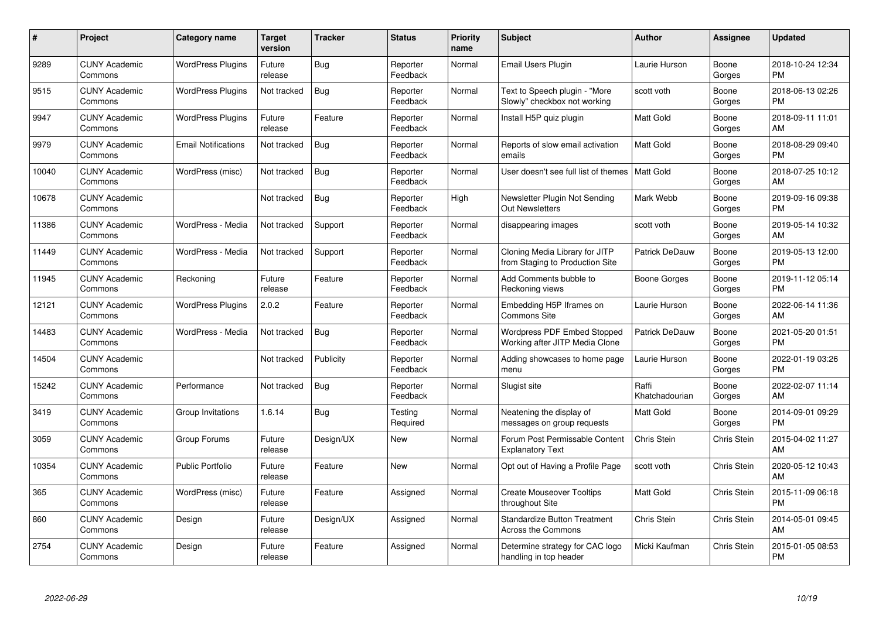| #     | Project                         | <b>Category name</b>       | Target<br>version | <b>Tracker</b> | <b>Status</b>        | <b>Priority</b><br>name | <b>Subject</b>                                                    | <b>Author</b>           | <b>Assignee</b> | <b>Updated</b>                |
|-------|---------------------------------|----------------------------|-------------------|----------------|----------------------|-------------------------|-------------------------------------------------------------------|-------------------------|-----------------|-------------------------------|
| 9289  | <b>CUNY Academic</b><br>Commons | <b>WordPress Plugins</b>   | Future<br>release | <b>Bug</b>     | Reporter<br>Feedback | Normal                  | <b>Email Users Plugin</b>                                         | Laurie Hurson           | Boone<br>Gorges | 2018-10-24 12:34<br><b>PM</b> |
| 9515  | <b>CUNY Academic</b><br>Commons | <b>WordPress Plugins</b>   | Not tracked       | <b>Bug</b>     | Reporter<br>Feedback | Normal                  | Text to Speech plugin - "More<br>Slowly" checkbox not working     | scott voth              | Boone<br>Gorges | 2018-06-13 02:26<br><b>PM</b> |
| 9947  | <b>CUNY Academic</b><br>Commons | <b>WordPress Plugins</b>   | Future<br>release | Feature        | Reporter<br>Feedback | Normal                  | Install H5P quiz plugin                                           | <b>Matt Gold</b>        | Boone<br>Gorges | 2018-09-11 11:01<br>AM        |
| 9979  | <b>CUNY Academic</b><br>Commons | <b>Email Notifications</b> | Not tracked       | <b>Bug</b>     | Reporter<br>Feedback | Normal                  | Reports of slow email activation<br>emails                        | <b>Matt Gold</b>        | Boone<br>Gorges | 2018-08-29 09:40<br><b>PM</b> |
| 10040 | <b>CUNY Academic</b><br>Commons | WordPress (misc)           | Not tracked       | <b>Bug</b>     | Reporter<br>Feedback | Normal                  | User doesn't see full list of themes   Matt Gold                  |                         | Boone<br>Gorges | 2018-07-25 10:12<br>AM        |
| 10678 | <b>CUNY Academic</b><br>Commons |                            | Not tracked       | <b>Bug</b>     | Reporter<br>Feedback | High                    | Newsletter Plugin Not Sending<br>Out Newsletters                  | Mark Webb               | Boone<br>Gorges | 2019-09-16 09:38<br><b>PM</b> |
| 11386 | <b>CUNY Academic</b><br>Commons | WordPress - Media          | Not tracked       | Support        | Reporter<br>Feedback | Normal                  | disappearing images                                               | scott voth              | Boone<br>Gorges | 2019-05-14 10:32<br>AM        |
| 11449 | <b>CUNY Academic</b><br>Commons | WordPress - Media          | Not tracked       | Support        | Reporter<br>Feedback | Normal                  | Cloning Media Library for JITP<br>from Staging to Production Site | Patrick DeDauw          | Boone<br>Gorges | 2019-05-13 12:00<br><b>PM</b> |
| 11945 | <b>CUNY Academic</b><br>Commons | Reckoning                  | Future<br>release | Feature        | Reporter<br>Feedback | Normal                  | Add Comments bubble to<br>Reckoning views                         | Boone Gorges            | Boone<br>Gorges | 2019-11-12 05:14<br><b>PM</b> |
| 12121 | <b>CUNY Academic</b><br>Commons | <b>WordPress Plugins</b>   | 2.0.2             | Feature        | Reporter<br>Feedback | Normal                  | Embedding H5P Iframes on<br><b>Commons Site</b>                   | Laurie Hurson           | Boone<br>Gorges | 2022-06-14 11:36<br>AM        |
| 14483 | <b>CUNY Academic</b><br>Commons | WordPress - Media          | Not tracked       | <b>Bug</b>     | Reporter<br>Feedback | Normal                  | Wordpress PDF Embed Stopped<br>Working after JITP Media Clone     | Patrick DeDauw          | Boone<br>Gorges | 2021-05-20 01:51<br><b>PM</b> |
| 14504 | <b>CUNY Academic</b><br>Commons |                            | Not tracked       | Publicity      | Reporter<br>Feedback | Normal                  | Adding showcases to home page<br>menu                             | Laurie Hurson           | Boone<br>Gorges | 2022-01-19 03:26<br><b>PM</b> |
| 15242 | <b>CUNY Academic</b><br>Commons | Performance                | Not tracked       | <b>Bug</b>     | Reporter<br>Feedback | Normal                  | Slugist site                                                      | Raffi<br>Khatchadourian | Boone<br>Gorges | 2022-02-07 11:14<br>AM        |
| 3419  | <b>CUNY Academic</b><br>Commons | Group Invitations          | 1.6.14            | Bug            | Testing<br>Required  | Normal                  | Neatening the display of<br>messages on group requests            | <b>Matt Gold</b>        | Boone<br>Gorges | 2014-09-01 09:29<br><b>PM</b> |
| 3059  | <b>CUNY Academic</b><br>Commons | Group Forums               | Future<br>release | Design/UX      | <b>New</b>           | Normal                  | Forum Post Permissable Content<br><b>Explanatory Text</b>         | Chris Stein             | Chris Stein     | 2015-04-02 11:27<br>AM        |
| 10354 | <b>CUNY Academic</b><br>Commons | <b>Public Portfolio</b>    | Future<br>release | Feature        | <b>New</b>           | Normal                  | Opt out of Having a Profile Page                                  | scott voth              | Chris Stein     | 2020-05-12 10:43<br>AM        |
| 365   | <b>CUNY Academic</b><br>Commons | WordPress (misc)           | Future<br>release | Feature        | Assigned             | Normal                  | <b>Create Mouseover Tooltips</b><br>throughout Site               | <b>Matt Gold</b>        | Chris Stein     | 2015-11-09 06:18<br><b>PM</b> |
| 860   | <b>CUNY Academic</b><br>Commons | Design                     | Future<br>release | Design/UX      | Assigned             | Normal                  | Standardize Button Treatment<br>Across the Commons                | <b>Chris Stein</b>      | Chris Stein     | 2014-05-01 09:45<br>AM        |
| 2754  | <b>CUNY Academic</b><br>Commons | Design                     | Future<br>release | Feature        | Assigned             | Normal                  | Determine strategy for CAC logo<br>handling in top header         | Micki Kaufman           | Chris Stein     | 2015-01-05 08:53<br><b>PM</b> |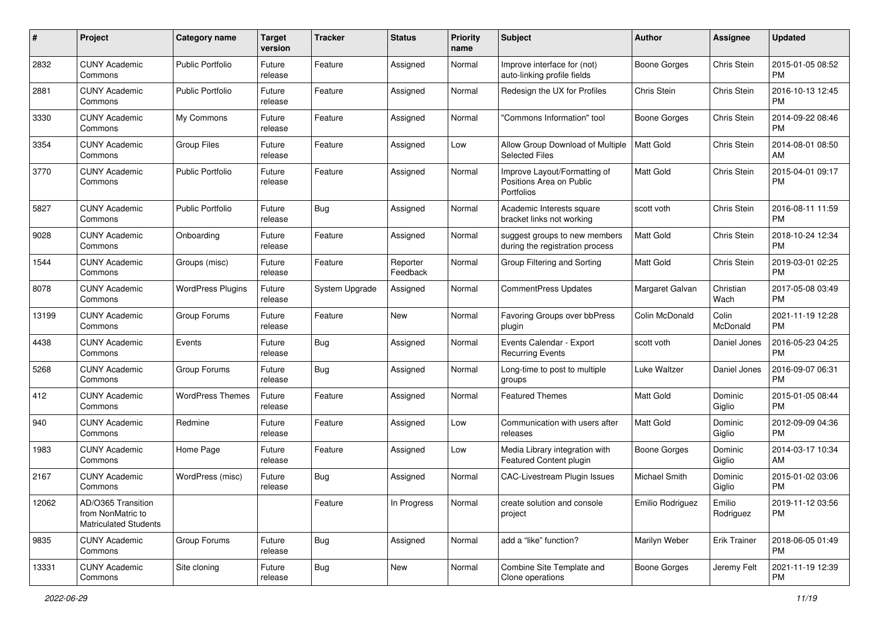| #     | Project                                                                 | Category name            | <b>Target</b><br>version | <b>Tracker</b>        | <b>Status</b>        | <b>Priority</b><br>name | <b>Subject</b>                                                         | <b>Author</b>        | <b>Assignee</b>     | <b>Updated</b>                |
|-------|-------------------------------------------------------------------------|--------------------------|--------------------------|-----------------------|----------------------|-------------------------|------------------------------------------------------------------------|----------------------|---------------------|-------------------------------|
| 2832  | <b>CUNY Academic</b><br>Commons                                         | <b>Public Portfolio</b>  | Future<br>release        | Feature               | Assigned             | Normal                  | Improve interface for (not)<br>auto-linking profile fields             | <b>Boone Gorges</b>  | Chris Stein         | 2015-01-05 08:52<br><b>PM</b> |
| 2881  | <b>CUNY Academic</b><br>Commons                                         | <b>Public Portfolio</b>  | Future<br>release        | Feature               | Assigned             | Normal                  | Redesign the UX for Profiles                                           | Chris Stein          | Chris Stein         | 2016-10-13 12:45<br><b>PM</b> |
| 3330  | <b>CUNY Academic</b><br>Commons                                         | My Commons               | Future<br>release        | Feature               | Assigned             | Normal                  | "Commons Information" tool                                             | <b>Boone Gorges</b>  | Chris Stein         | 2014-09-22 08:46<br><b>PM</b> |
| 3354  | <b>CUNY Academic</b><br>Commons                                         | <b>Group Files</b>       | Future<br>release        | Feature               | Assigned             | Low                     | Allow Group Download of Multiple<br><b>Selected Files</b>              | Matt Gold            | Chris Stein         | 2014-08-01 08:50<br>AM        |
| 3770  | <b>CUNY Academic</b><br>Commons                                         | <b>Public Portfolio</b>  | Future<br>release        | Feature               | Assigned             | Normal                  | Improve Layout/Formatting of<br>Positions Area on Public<br>Portfolios | <b>Matt Gold</b>     | Chris Stein         | 2015-04-01 09:17<br><b>PM</b> |
| 5827  | <b>CUNY Academic</b><br>Commons                                         | <b>Public Portfolio</b>  | Future<br>release        | <b>Bug</b>            | Assigned             | Normal                  | Academic Interests square<br>bracket links not working                 | scott voth           | Chris Stein         | 2016-08-11 11:59<br><b>PM</b> |
| 9028  | <b>CUNY Academic</b><br>Commons                                         | Onboarding               | Future<br>release        | Feature               | Assigned             | Normal                  | suggest groups to new members<br>during the registration process       | Matt Gold            | Chris Stein         | 2018-10-24 12:34<br><b>PM</b> |
| 1544  | <b>CUNY Academic</b><br>Commons                                         | Groups (misc)            | Future<br>release        | Feature               | Reporter<br>Feedback | Normal                  | Group Filtering and Sorting                                            | Matt Gold            | Chris Stein         | 2019-03-01 02:25<br><b>PM</b> |
| 8078  | <b>CUNY Academic</b><br>Commons                                         | <b>WordPress Plugins</b> | Future<br>release        | <b>System Upgrade</b> | Assigned             | Normal                  | CommentPress Updates                                                   | Margaret Galvan      | Christian<br>Wach   | 2017-05-08 03:49<br><b>PM</b> |
| 13199 | <b>CUNY Academic</b><br>Commons                                         | Group Forums             | Future<br>release        | Feature               | New                  | Normal                  | Favoring Groups over bbPress<br>plugin                                 | Colin McDonald       | Colin<br>McDonald   | 2021-11-19 12:28<br><b>PM</b> |
| 4438  | <b>CUNY Academic</b><br>Commons                                         | Events                   | Future<br>release        | Bug                   | Assigned             | Normal                  | Events Calendar - Export<br><b>Recurring Events</b>                    | scott voth           | Daniel Jones        | 2016-05-23 04:25<br><b>PM</b> |
| 5268  | <b>CUNY Academic</b><br>Commons                                         | Group Forums             | Future<br>release        | Bug                   | Assigned             | Normal                  | Long-time to post to multiple<br>groups                                | <b>Luke Waltzer</b>  | Daniel Jones        | 2016-09-07 06:31<br><b>PM</b> |
| 412   | <b>CUNY Academic</b><br>Commons                                         | <b>WordPress Themes</b>  | Future<br>release        | Feature               | Assigned             | Normal                  | <b>Featured Themes</b>                                                 | <b>Matt Gold</b>     | Dominic<br>Giglio   | 2015-01-05 08:44<br><b>PM</b> |
| 940   | <b>CUNY Academic</b><br>Commons                                         | Redmine                  | Future<br>release        | Feature               | Assigned             | Low                     | Communication with users after<br>releases                             | <b>Matt Gold</b>     | Dominic<br>Giglio   | 2012-09-09 04:36<br><b>PM</b> |
| 1983  | <b>CUNY Academic</b><br>Commons                                         | Home Page                | Future<br>release        | Feature               | Assigned             | Low                     | Media Library integration with<br>Featured Content plugin              | <b>Boone Gorges</b>  | Dominic<br>Giglio   | 2014-03-17 10:34<br>AM        |
| 2167  | <b>CUNY Academic</b><br>Commons                                         | WordPress (misc)         | Future<br>release        | <b>Bug</b>            | Assigned             | Normal                  | <b>CAC-Livestream Plugin Issues</b>                                    | <b>Michael Smith</b> | Dominic<br>Giglio   | 2015-01-02 03:06<br><b>PM</b> |
| 12062 | AD/O365 Transition<br>from NonMatric to<br><b>Matriculated Students</b> |                          |                          | Feature               | In Progress          | Normal                  | create solution and console<br>project                                 | Emilio Rodriguez     | Emilio<br>Rodriguez | 2019-11-12 03:56<br>PM        |
| 9835  | <b>CUNY Academic</b><br>Commons                                         | Group Forums             | Future<br>release        | Bug                   | Assigned             | Normal                  | add a "like" function?                                                 | Marilyn Weber        | <b>Erik Trainer</b> | 2018-06-05 01:49<br>PM        |
| 13331 | <b>CUNY Academic</b><br>Commons                                         | Site cloning             | Future<br>release        | <b>Bug</b>            | New                  | Normal                  | Combine Site Template and<br>Clone operations                          | <b>Boone Gorges</b>  | Jeremy Felt         | 2021-11-19 12:39<br>PM        |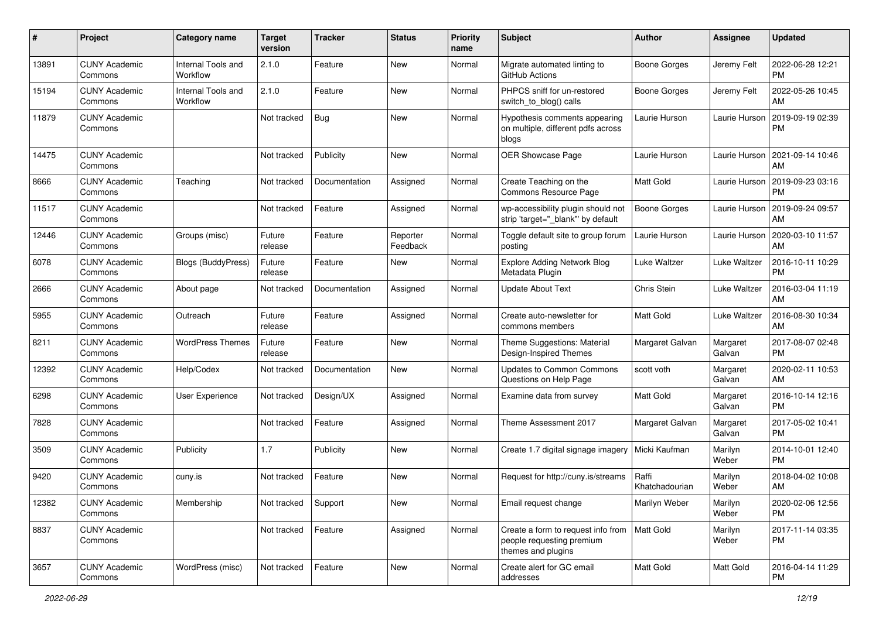| #     | Project                         | Category name                  | <b>Target</b><br>version | <b>Tracker</b> | <b>Status</b>        | <b>Priority</b><br>name | Subject                                                                               | <b>Author</b>           | <b>Assignee</b>     | <b>Updated</b>                |
|-------|---------------------------------|--------------------------------|--------------------------|----------------|----------------------|-------------------------|---------------------------------------------------------------------------------------|-------------------------|---------------------|-------------------------------|
| 13891 | <b>CUNY Academic</b><br>Commons | Internal Tools and<br>Workflow | 2.1.0                    | Feature        | New                  | Normal                  | Migrate automated linting to<br>GitHub Actions                                        | <b>Boone Gorges</b>     | Jeremy Felt         | 2022-06-28 12:21<br><b>PM</b> |
| 15194 | <b>CUNY Academic</b><br>Commons | Internal Tools and<br>Workflow | 2.1.0                    | Feature        | New                  | Normal                  | PHPCS sniff for un-restored<br>switch_to_blog() calls                                 | <b>Boone Gorges</b>     | Jeremy Felt         | 2022-05-26 10:45<br>AM        |
| 11879 | <b>CUNY Academic</b><br>Commons |                                | Not tracked              | <b>Bug</b>     | New                  | Normal                  | Hypothesis comments appearing<br>on multiple, different pdfs across<br>blogs          | Laurie Hurson           | Laurie Hurson       | 2019-09-19 02:39<br><b>PM</b> |
| 14475 | <b>CUNY Academic</b><br>Commons |                                | Not tracked              | Publicity      | New                  | Normal                  | <b>OER Showcase Page</b>                                                              | Laurie Hurson           | Laurie Hurson       | 2021-09-14 10:46<br>AM        |
| 8666  | <b>CUNY Academic</b><br>Commons | Teaching                       | Not tracked              | Documentation  | Assigned             | Normal                  | Create Teaching on the<br>Commons Resource Page                                       | Matt Gold               | Laurie Hurson       | 2019-09-23 03:16<br>PM        |
| 11517 | <b>CUNY Academic</b><br>Commons |                                | Not tracked              | Feature        | Assigned             | Normal                  | wp-accessibility plugin should not<br>strip 'target="_blank" by default               | <b>Boone Gorges</b>     | Laurie Hurson       | 2019-09-24 09:57<br>AM        |
| 12446 | <b>CUNY Academic</b><br>Commons | Groups (misc)                  | Future<br>release        | Feature        | Reporter<br>Feedback | Normal                  | Toggle default site to group forum<br>posting                                         | Laurie Hurson           | Laurie Hurson       | 2020-03-10 11:57<br>AM        |
| 6078  | <b>CUNY Academic</b><br>Commons | <b>Blogs (BuddyPress)</b>      | Future<br>release        | Feature        | New                  | Normal                  | <b>Explore Adding Network Blog</b><br>Metadata Plugin                                 | Luke Waltzer            | Luke Waltzer        | 2016-10-11 10:29<br><b>PM</b> |
| 2666  | <b>CUNY Academic</b><br>Commons | About page                     | Not tracked              | Documentation  | Assigned             | Normal                  | <b>Update About Text</b>                                                              | Chris Stein             | <b>Luke Waltzer</b> | 2016-03-04 11:19<br>AM        |
| 5955  | <b>CUNY Academic</b><br>Commons | Outreach                       | Future<br>release        | Feature        | Assigned             | Normal                  | Create auto-newsletter for<br>commons members                                         | <b>Matt Gold</b>        | Luke Waltzer        | 2016-08-30 10:34<br>AM        |
| 8211  | <b>CUNY Academic</b><br>Commons | <b>WordPress Themes</b>        | Future<br>release        | Feature        | <b>New</b>           | Normal                  | Theme Suggestions: Material<br>Design-Inspired Themes                                 | Margaret Galvan         | Margaret<br>Galvan  | 2017-08-07 02:48<br><b>PM</b> |
| 12392 | <b>CUNY Academic</b><br>Commons | Help/Codex                     | Not tracked              | Documentation  | <b>New</b>           | Normal                  | <b>Updates to Common Commons</b><br>Questions on Help Page                            | scott voth              | Margaret<br>Galvan  | 2020-02-11 10:53<br>AM        |
| 6298  | <b>CUNY Academic</b><br>Commons | User Experience                | Not tracked              | Design/UX      | Assigned             | Normal                  | Examine data from survey                                                              | <b>Matt Gold</b>        | Margaret<br>Galvan  | 2016-10-14 12:16<br><b>PM</b> |
| 7828  | <b>CUNY Academic</b><br>Commons |                                | Not tracked              | Feature        | Assigned             | Normal                  | Theme Assessment 2017                                                                 | Margaret Galvan         | Margaret<br>Galvan  | 2017-05-02 10:41<br><b>PM</b> |
| 3509  | <b>CUNY Academic</b><br>Commons | Publicity                      | 1.7                      | Publicity      | New                  | Normal                  | Create 1.7 digital signage imagery                                                    | Micki Kaufman           | Marilyn<br>Weber    | 2014-10-01 12:40<br><b>PM</b> |
| 9420  | <b>CUNY Academic</b><br>Commons | cuny.is                        | Not tracked              | Feature        | New                  | Normal                  | Request for http://cuny.is/streams                                                    | Raffi<br>Khatchadourian | Marilyn<br>Weber    | 2018-04-02 10:08<br>AM        |
| 12382 | <b>CUNY Academic</b><br>Commons | Membership                     | Not tracked              | Support        | New                  | Normal                  | Email request change                                                                  | Marilyn Weber           | Marilyn<br>Weber    | 2020-02-06 12:56<br>PM        |
| 8837  | <b>CUNY Academic</b><br>Commons |                                | Not tracked              | Feature        | Assigned             | Normal                  | Create a form to request info from<br>people requesting premium<br>themes and plugins | Matt Gold               | Marilyn<br>Weber    | 2017-11-14 03:35<br>PM        |
| 3657  | <b>CUNY Academic</b><br>Commons | WordPress (misc)               | Not tracked              | Feature        | New                  | Normal                  | Create alert for GC email<br>addresses                                                | Matt Gold               | Matt Gold           | 2016-04-14 11:29<br>PM        |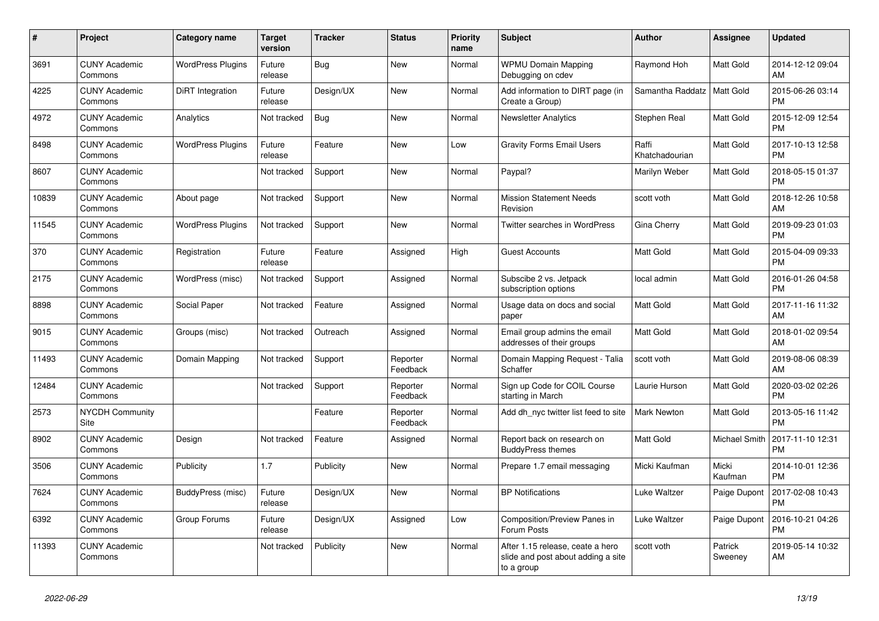| #     | <b>Project</b>                  | Category name            | <b>Target</b><br>version | <b>Tracker</b> | <b>Status</b>        | <b>Priority</b><br>name | <b>Subject</b>                                                                       | <b>Author</b>           | Assignee             | <b>Updated</b>                |
|-------|---------------------------------|--------------------------|--------------------------|----------------|----------------------|-------------------------|--------------------------------------------------------------------------------------|-------------------------|----------------------|-------------------------------|
| 3691  | <b>CUNY Academic</b><br>Commons | <b>WordPress Plugins</b> | Future<br>release        | Bug            | <b>New</b>           | Normal                  | <b>WPMU Domain Mapping</b><br>Debugging on cdev                                      | Raymond Hoh             | <b>Matt Gold</b>     | 2014-12-12 09:04<br>AM        |
| 4225  | <b>CUNY Academic</b><br>Commons | DiRT Integration         | Future<br>release        | Design/UX      | <b>New</b>           | Normal                  | Add information to DIRT page (in<br>Create a Group)                                  | Samantha Raddatz        | Matt Gold            | 2015-06-26 03:14<br><b>PM</b> |
| 4972  | <b>CUNY Academic</b><br>Commons | Analytics                | Not tracked              | Bug            | <b>New</b>           | Normal                  | <b>Newsletter Analytics</b>                                                          | Stephen Real            | Matt Gold            | 2015-12-09 12:54<br><b>PM</b> |
| 8498  | <b>CUNY Academic</b><br>Commons | <b>WordPress Plugins</b> | Future<br>release        | Feature        | <b>New</b>           | Low                     | <b>Gravity Forms Email Users</b>                                                     | Raffi<br>Khatchadourian | Matt Gold            | 2017-10-13 12:58<br><b>PM</b> |
| 8607  | <b>CUNY Academic</b><br>Commons |                          | Not tracked              | Support        | <b>New</b>           | Normal                  | Paypal?                                                                              | Marilyn Weber           | <b>Matt Gold</b>     | 2018-05-15 01:37<br><b>PM</b> |
| 10839 | <b>CUNY Academic</b><br>Commons | About page               | Not tracked              | Support        | New                  | Normal                  | <b>Mission Statement Needs</b><br>Revision                                           | scott voth              | <b>Matt Gold</b>     | 2018-12-26 10:58<br>AM        |
| 11545 | <b>CUNY Academic</b><br>Commons | <b>WordPress Plugins</b> | Not tracked              | Support        | <b>New</b>           | Normal                  | Twitter searches in WordPress                                                        | Gina Cherry             | <b>Matt Gold</b>     | 2019-09-23 01:03<br><b>PM</b> |
| 370   | <b>CUNY Academic</b><br>Commons | Registration             | Future<br>release        | Feature        | Assigned             | High                    | <b>Guest Accounts</b>                                                                | <b>Matt Gold</b>        | <b>Matt Gold</b>     | 2015-04-09 09:33<br><b>PM</b> |
| 2175  | <b>CUNY Academic</b><br>Commons | WordPress (misc)         | Not tracked              | Support        | Assigned             | Normal                  | Subscibe 2 vs. Jetpack<br>subscription options                                       | local admin             | Matt Gold            | 2016-01-26 04:58<br><b>PM</b> |
| 8898  | <b>CUNY Academic</b><br>Commons | Social Paper             | Not tracked              | Feature        | Assigned             | Normal                  | Usage data on docs and social<br>paper                                               | <b>Matt Gold</b>        | Matt Gold            | 2017-11-16 11:32<br>AM        |
| 9015  | <b>CUNY Academic</b><br>Commons | Groups (misc)            | Not tracked              | Outreach       | Assigned             | Normal                  | Email group admins the email<br>addresses of their groups                            | Matt Gold               | <b>Matt Gold</b>     | 2018-01-02 09:54<br>AM        |
| 11493 | <b>CUNY Academic</b><br>Commons | Domain Mapping           | Not tracked              | Support        | Reporter<br>Feedback | Normal                  | Domain Mapping Request - Talia<br>Schaffer                                           | scott voth              | Matt Gold            | 2019-08-06 08:39<br>AM        |
| 12484 | <b>CUNY Academic</b><br>Commons |                          | Not tracked              | Support        | Reporter<br>Feedback | Normal                  | Sign up Code for COIL Course<br>starting in March                                    | Laurie Hurson           | <b>Matt Gold</b>     | 2020-03-02 02:26<br><b>PM</b> |
| 2573  | <b>NYCDH Community</b><br>Site  |                          |                          | Feature        | Reporter<br>Feedback | Normal                  | Add dh nyc twitter list feed to site                                                 | <b>Mark Newton</b>      | <b>Matt Gold</b>     | 2013-05-16 11:42<br><b>PM</b> |
| 8902  | <b>CUNY Academic</b><br>Commons | Design                   | Not tracked              | Feature        | Assigned             | Normal                  | Report back on research on<br><b>BuddyPress themes</b>                               | Matt Gold               | <b>Michael Smith</b> | 2017-11-10 12:31<br><b>PM</b> |
| 3506  | <b>CUNY Academic</b><br>Commons | Publicity                | 1.7                      | Publicity      | <b>New</b>           | Normal                  | Prepare 1.7 email messaging                                                          | Micki Kaufman           | Micki<br>Kaufman     | 2014-10-01 12:36<br><b>PM</b> |
| 7624  | <b>CUNY Academic</b><br>Commons | BuddyPress (misc)        | Future<br>release        | Design/UX      | <b>New</b>           | Normal                  | <b>BP</b> Notifications                                                              | Luke Waltzer            | Paige Dupont         | 2017-02-08 10:43<br><b>PM</b> |
| 6392  | <b>CUNY Academic</b><br>Commons | Group Forums             | Future<br>release        | Design/UX      | Assigned             | Low                     | Composition/Preview Panes in<br>Forum Posts                                          | Luke Waltzer            | Paige Dupont         | 2016-10-21 04:26<br><b>PM</b> |
| 11393 | <b>CUNY Academic</b><br>Commons |                          | Not tracked              | Publicity      | <b>New</b>           | Normal                  | After 1.15 release, ceate a hero<br>slide and post about adding a site<br>to a group | scott voth              | Patrick<br>Sweeney   | 2019-05-14 10:32<br>AM        |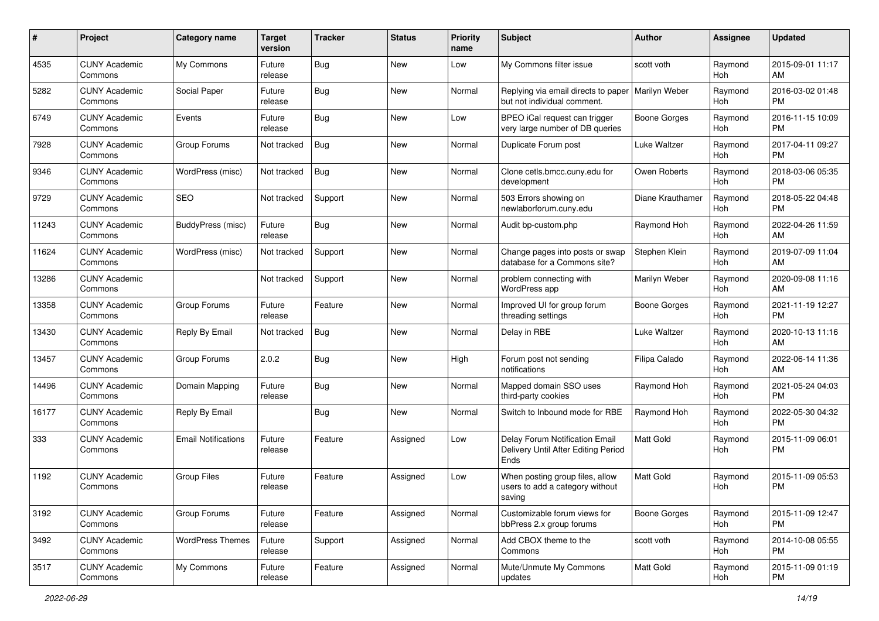| #     | Project                         | Category name              | <b>Target</b><br>version | <b>Tracker</b> | <b>Status</b> | <b>Priority</b><br>name | Subject                                                                       | Author              | <b>Assignee</b> | <b>Updated</b>                |
|-------|---------------------------------|----------------------------|--------------------------|----------------|---------------|-------------------------|-------------------------------------------------------------------------------|---------------------|-----------------|-------------------------------|
| 4535  | <b>CUNY Academic</b><br>Commons | My Commons                 | Future<br>release        | <b>Bug</b>     | <b>New</b>    | Low                     | My Commons filter issue                                                       | scott voth          | Raymond<br>Hoh  | 2015-09-01 11:17<br>AM        |
| 5282  | <b>CUNY Academic</b><br>Commons | Social Paper               | Future<br>release        | <b>Bug</b>     | <b>New</b>    | Normal                  | Replying via email directs to paper<br>but not individual comment.            | Marilyn Weber       | Raymond<br>Hoh  | 2016-03-02 01:48<br><b>PM</b> |
| 6749  | <b>CUNY Academic</b><br>Commons | Events                     | Future<br>release        | <b>Bug</b>     | <b>New</b>    | Low                     | BPEO iCal request can trigger<br>very large number of DB queries              | <b>Boone Gorges</b> | Raymond<br>Hoh  | 2016-11-15 10:09<br><b>PM</b> |
| 7928  | <b>CUNY Academic</b><br>Commons | Group Forums               | Not tracked              | <b>Bug</b>     | <b>New</b>    | Normal                  | Duplicate Forum post                                                          | Luke Waltzer        | Raymond<br>Hoh  | 2017-04-11 09:27<br><b>PM</b> |
| 9346  | <b>CUNY Academic</b><br>Commons | WordPress (misc)           | Not tracked              | <b>Bug</b>     | <b>New</b>    | Normal                  | Clone cetls.bmcc.cuny.edu for<br>development                                  | Owen Roberts        | Raymond<br>Hoh  | 2018-03-06 05:35<br><b>PM</b> |
| 9729  | <b>CUNY Academic</b><br>Commons | <b>SEO</b>                 | Not tracked              | Support        | <b>New</b>    | Normal                  | 503 Errors showing on<br>newlaborforum.cuny.edu                               | Diane Krauthamer    | Raymond<br>Hoh  | 2018-05-22 04:48<br><b>PM</b> |
| 11243 | <b>CUNY Academic</b><br>Commons | BuddyPress (misc)          | Future<br>release        | Bug            | <b>New</b>    | Normal                  | Audit bp-custom.php                                                           | Raymond Hoh         | Raymond<br>Hoh  | 2022-04-26 11:59<br>AM        |
| 11624 | <b>CUNY Academic</b><br>Commons | WordPress (misc)           | Not tracked              | Support        | <b>New</b>    | Normal                  | Change pages into posts or swap<br>database for a Commons site?               | Stephen Klein       | Raymond<br>Hoh  | 2019-07-09 11:04<br>AM        |
| 13286 | <b>CUNY Academic</b><br>Commons |                            | Not tracked              | Support        | <b>New</b>    | Normal                  | problem connecting with<br>WordPress app                                      | Marilyn Weber       | Raymond<br>Hoh  | 2020-09-08 11:16<br>AM        |
| 13358 | <b>CUNY Academic</b><br>Commons | Group Forums               | Future<br>release        | Feature        | <b>New</b>    | Normal                  | Improved UI for group forum<br>threading settings                             | <b>Boone Gorges</b> | Raymond<br>Hoh  | 2021-11-19 12:27<br><b>PM</b> |
| 13430 | <b>CUNY Academic</b><br>Commons | Reply By Email             | Not tracked              | <b>Bug</b>     | <b>New</b>    | Normal                  | Delay in RBE                                                                  | Luke Waltzer        | Raymond<br>Hoh  | 2020-10-13 11:16<br>AM        |
| 13457 | <b>CUNY Academic</b><br>Commons | Group Forums               | 2.0.2                    | <b>Bug</b>     | <b>New</b>    | High                    | Forum post not sending<br>notifications                                       | Filipa Calado       | Raymond<br>Hoh  | 2022-06-14 11:36<br>AM        |
| 14496 | <b>CUNY Academic</b><br>Commons | Domain Mapping             | Future<br>release        | <b>Bug</b>     | <b>New</b>    | Normal                  | Mapped domain SSO uses<br>third-party cookies                                 | Raymond Hoh         | Raymond<br>Hoh  | 2021-05-24 04:03<br><b>PM</b> |
| 16177 | <b>CUNY Academic</b><br>Commons | Reply By Email             |                          | <b>Bug</b>     | <b>New</b>    | Normal                  | Switch to Inbound mode for RBE                                                | Raymond Hoh         | Raymond<br>Hoh  | 2022-05-30 04:32<br><b>PM</b> |
| 333   | <b>CUNY Academic</b><br>Commons | <b>Email Notifications</b> | Future<br>release        | Feature        | Assigned      | Low                     | Delay Forum Notification Email<br>Delivery Until After Editing Period<br>Ends | <b>Matt Gold</b>    | Raymond<br>Hoh  | 2015-11-09 06:01<br><b>PM</b> |
| 1192  | <b>CUNY Academic</b><br>Commons | <b>Group Files</b>         | Future<br>release        | Feature        | Assigned      | Low                     | When posting group files, allow<br>users to add a category without<br>saving  | <b>Matt Gold</b>    | Raymond<br>Hoh  | 2015-11-09 05:53<br><b>PM</b> |
| 3192  | <b>CUNY Academic</b><br>Commons | Group Forums               | Future<br>release        | Feature        | Assigned      | Normal                  | Customizable forum views for<br>bbPress 2.x group forums                      | <b>Boone Gorges</b> | Raymond<br>Hoh  | 2015-11-09 12:47<br>PM        |
| 3492  | <b>CUNY Academic</b><br>Commons | <b>WordPress Themes</b>    | Future<br>release        | Support        | Assigned      | Normal                  | Add CBOX theme to the<br>Commons                                              | scott voth          | Raymond<br>Hoh  | 2014-10-08 05:55<br><b>PM</b> |
| 3517  | <b>CUNY Academic</b><br>Commons | My Commons                 | Future<br>release        | Feature        | Assigned      | Normal                  | Mute/Unmute My Commons<br>updates                                             | Matt Gold           | Raymond<br>Hoh  | 2015-11-09 01:19<br><b>PM</b> |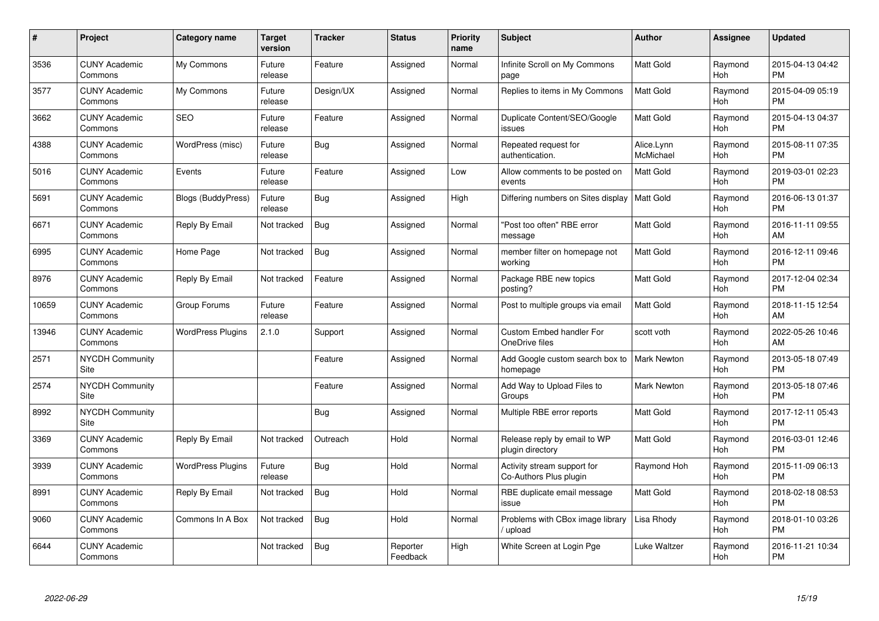| #     | Project                         | Category name             | <b>Target</b><br>version | <b>Tracker</b> | <b>Status</b>        | <b>Priority</b><br>name | <b>Subject</b>                                        | <b>Author</b>           | Assignee              | <b>Updated</b>                |
|-------|---------------------------------|---------------------------|--------------------------|----------------|----------------------|-------------------------|-------------------------------------------------------|-------------------------|-----------------------|-------------------------------|
| 3536  | <b>CUNY Academic</b><br>Commons | My Commons                | Future<br>release        | Feature        | Assigned             | Normal                  | Infinite Scroll on My Commons<br>page                 | <b>Matt Gold</b>        | Raymond<br>Hoh        | 2015-04-13 04:42<br><b>PM</b> |
| 3577  | <b>CUNY Academic</b><br>Commons | My Commons                | Future<br>release        | Design/UX      | Assigned             | Normal                  | Replies to items in My Commons                        | <b>Matt Gold</b>        | Raymond<br>Hoh        | 2015-04-09 05:19<br><b>PM</b> |
| 3662  | <b>CUNY Academic</b><br>Commons | <b>SEO</b>                | Future<br>release        | Feature        | Assigned             | Normal                  | Duplicate Content/SEO/Google<br>issues                | Matt Gold               | Raymond<br>Hoh        | 2015-04-13 04:37<br><b>PM</b> |
| 4388  | <b>CUNY Academic</b><br>Commons | WordPress (misc)          | Future<br>release        | <b>Bug</b>     | Assigned             | Normal                  | Repeated request for<br>authentication.               | Alice.Lynn<br>McMichael | Raymond<br>Hoh        | 2015-08-11 07:35<br><b>PM</b> |
| 5016  | <b>CUNY Academic</b><br>Commons | Events                    | Future<br>release        | Feature        | Assigned             | Low                     | Allow comments to be posted on<br>events              | <b>Matt Gold</b>        | Raymond<br>Hoh        | 2019-03-01 02:23<br><b>PM</b> |
| 5691  | <b>CUNY Academic</b><br>Commons | <b>Blogs (BuddyPress)</b> | Future<br>release        | Bug            | Assigned             | High                    | Differing numbers on Sites display                    | <b>Matt Gold</b>        | Raymond<br><b>Hoh</b> | 2016-06-13 01:37<br><b>PM</b> |
| 6671  | <b>CUNY Academic</b><br>Commons | Reply By Email            | Not tracked              | <b>Bug</b>     | Assigned             | Normal                  | "Post too often" RBE error<br>message                 | Matt Gold               | Raymond<br>Hoh        | 2016-11-11 09:55<br>AM        |
| 6995  | <b>CUNY Academic</b><br>Commons | Home Page                 | Not tracked              | <b>Bug</b>     | Assigned             | Normal                  | member filter on homepage not<br>working              | Matt Gold               | Raymond<br>Hoh        | 2016-12-11 09:46<br><b>PM</b> |
| 8976  | <b>CUNY Academic</b><br>Commons | Reply By Email            | Not tracked              | Feature        | Assigned             | Normal                  | Package RBE new topics<br>posting?                    | Matt Gold               | Raymond<br>Hoh        | 2017-12-04 02:34<br><b>PM</b> |
| 10659 | <b>CUNY Academic</b><br>Commons | Group Forums              | Future<br>release        | Feature        | Assigned             | Normal                  | Post to multiple groups via email                     | <b>Matt Gold</b>        | Raymond<br>Hoh        | 2018-11-15 12:54<br>AM        |
| 13946 | <b>CUNY Academic</b><br>Commons | <b>WordPress Plugins</b>  | 2.1.0                    | Support        | Assigned             | Normal                  | <b>Custom Embed handler For</b><br>OneDrive files     | scott voth              | Raymond<br>Hoh        | 2022-05-26 10:46<br>AM        |
| 2571  | <b>NYCDH Community</b><br>Site  |                           |                          | Feature        | Assigned             | Normal                  | Add Google custom search box to<br>homepage           | <b>Mark Newton</b>      | Raymond<br>Hoh        | 2013-05-18 07:49<br><b>PM</b> |
| 2574  | <b>NYCDH Community</b><br>Site  |                           |                          | Feature        | Assigned             | Normal                  | Add Way to Upload Files to<br>Groups                  | <b>Mark Newton</b>      | Raymond<br><b>Hoh</b> | 2013-05-18 07:46<br><b>PM</b> |
| 8992  | <b>NYCDH Community</b><br>Site  |                           |                          | <b>Bug</b>     | Assigned             | Normal                  | Multiple RBE error reports                            | Matt Gold               | Raymond<br>Hoh        | 2017-12-11 05:43<br><b>PM</b> |
| 3369  | <b>CUNY Academic</b><br>Commons | Reply By Email            | Not tracked              | Outreach       | Hold                 | Normal                  | Release reply by email to WP<br>plugin directory      | Matt Gold               | Raymond<br>Hoh        | 2016-03-01 12:46<br><b>PM</b> |
| 3939  | <b>CUNY Academic</b><br>Commons | <b>WordPress Plugins</b>  | Future<br>release        | Bug            | Hold                 | Normal                  | Activity stream support for<br>Co-Authors Plus plugin | Raymond Hoh             | Raymond<br>Hoh        | 2015-11-09 06:13<br><b>PM</b> |
| 8991  | <b>CUNY Academic</b><br>Commons | Reply By Email            | Not tracked              | Bug            | Hold                 | Normal                  | RBE duplicate email message<br>issue                  | Matt Gold               | Raymond<br><b>Hoh</b> | 2018-02-18 08:53<br><b>PM</b> |
| 9060  | <b>CUNY Academic</b><br>Commons | Commons In A Box          | Not tracked              | Bug            | Hold                 | Normal                  | Problems with CBox image library<br>/ upload          | Lisa Rhody              | Raymond<br>Hoh        | 2018-01-10 03:26<br><b>PM</b> |
| 6644  | <b>CUNY Academic</b><br>Commons |                           | Not tracked              | Bug            | Reporter<br>Feedback | High                    | White Screen at Login Pge                             | Luke Waltzer            | Raymond<br>Hoh        | 2016-11-21 10:34<br>PM        |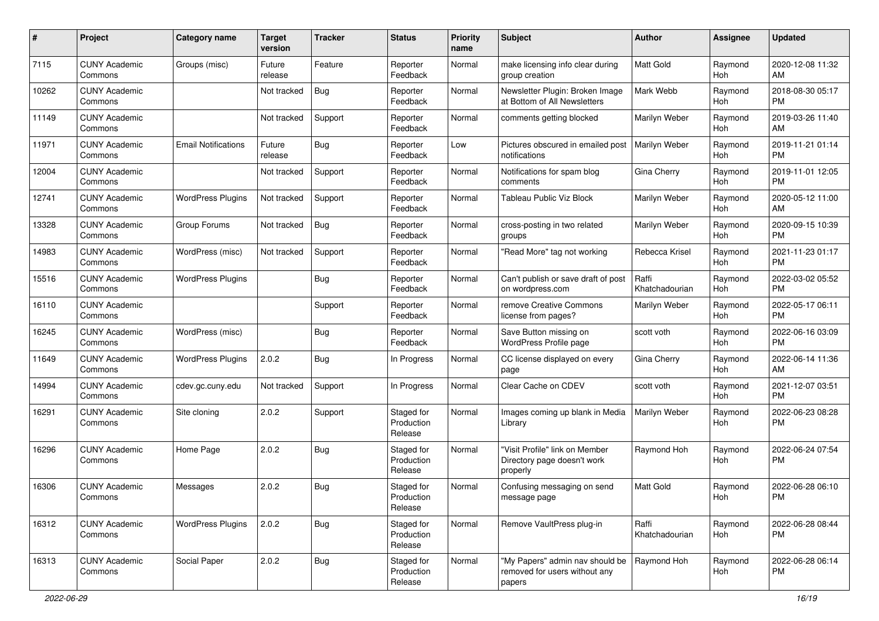| #     | Project                         | <b>Category name</b>       | <b>Target</b><br>version | <b>Tracker</b> | <b>Status</b>                       | <b>Priority</b><br>name | Subject                                                                    | <b>Author</b>           | <b>Assignee</b> | <b>Updated</b>                |
|-------|---------------------------------|----------------------------|--------------------------|----------------|-------------------------------------|-------------------------|----------------------------------------------------------------------------|-------------------------|-----------------|-------------------------------|
| 7115  | <b>CUNY Academic</b><br>Commons | Groups (misc)              | Future<br>release        | Feature        | Reporter<br>Feedback                | Normal                  | make licensing info clear during<br>group creation                         | <b>Matt Gold</b>        | Raymond<br>Hoh  | 2020-12-08 11:32<br>AM        |
| 10262 | <b>CUNY Academic</b><br>Commons |                            | Not tracked              | Bug            | Reporter<br>Feedback                | Normal                  | Newsletter Plugin: Broken Image<br>at Bottom of All Newsletters            | Mark Webb               | Raymond<br>Hoh  | 2018-08-30 05:17<br><b>PM</b> |
| 11149 | <b>CUNY Academic</b><br>Commons |                            | Not tracked              | Support        | Reporter<br>Feedback                | Normal                  | comments getting blocked                                                   | Marilyn Weber           | Raymond<br>Hoh  | 2019-03-26 11:40<br>AM        |
| 11971 | <b>CUNY Academic</b><br>Commons | <b>Email Notifications</b> | Future<br>release        | Bug            | Reporter<br>Feedback                | Low                     | Pictures obscured in emailed post<br>notifications                         | Marilyn Weber           | Raymond<br>Hoh  | 2019-11-21 01:14<br><b>PM</b> |
| 12004 | <b>CUNY Academic</b><br>Commons |                            | Not tracked              | Support        | Reporter<br>Feedback                | Normal                  | Notifications for spam blog<br>comments                                    | Gina Cherry             | Raymond<br>Hoh  | 2019-11-01 12:05<br><b>PM</b> |
| 12741 | <b>CUNY Academic</b><br>Commons | <b>WordPress Plugins</b>   | Not tracked              | Support        | Reporter<br>Feedback                | Normal                  | Tableau Public Viz Block                                                   | Marilyn Weber           | Raymond<br>Hoh  | 2020-05-12 11:00<br>AM        |
| 13328 | <b>CUNY Academic</b><br>Commons | Group Forums               | Not tracked              | Bug            | Reporter<br>Feedback                | Normal                  | cross-posting in two related<br>groups                                     | Marilyn Weber           | Raymond<br>Hoh  | 2020-09-15 10:39<br><b>PM</b> |
| 14983 | <b>CUNY Academic</b><br>Commons | WordPress (misc)           | Not tracked              | Support        | Reporter<br>Feedback                | Normal                  | "Read More" tag not working                                                | Rebecca Krisel          | Raymond<br>Hoh  | 2021-11-23 01:17<br><b>PM</b> |
| 15516 | <b>CUNY Academic</b><br>Commons | <b>WordPress Plugins</b>   |                          | <b>Bug</b>     | Reporter<br>Feedback                | Normal                  | Can't publish or save draft of post<br>on wordpress.com                    | Raffi<br>Khatchadourian | Raymond<br>Hoh  | 2022-03-02 05:52<br><b>PM</b> |
| 16110 | <b>CUNY Academic</b><br>Commons |                            |                          | Support        | Reporter<br>Feedback                | Normal                  | remove Creative Commons<br>license from pages?                             | Marilyn Weber           | Raymond<br>Hoh  | 2022-05-17 06:11<br><b>PM</b> |
| 16245 | <b>CUNY Academic</b><br>Commons | WordPress (misc)           |                          | Bug            | Reporter<br>Feedback                | Normal                  | Save Button missing on<br>WordPress Profile page                           | scott voth              | Raymond<br>Hoh  | 2022-06-16 03:09<br><b>PM</b> |
| 11649 | <b>CUNY Academic</b><br>Commons | <b>WordPress Plugins</b>   | 2.0.2                    | Bug            | In Progress                         | Normal                  | CC license displayed on every<br>page                                      | Gina Cherry             | Raymond<br>Hoh  | 2022-06-14 11:36<br>AM        |
| 14994 | <b>CUNY Academic</b><br>Commons | cdev.gc.cuny.edu           | Not tracked              | Support        | In Progress                         | Normal                  | Clear Cache on CDEV                                                        | scott voth              | Raymond<br>Hoh  | 2021-12-07 03:51<br><b>PM</b> |
| 16291 | <b>CUNY Academic</b><br>Commons | Site cloning               | 2.0.2                    | Support        | Staged for<br>Production<br>Release | Normal                  | Images coming up blank in Media<br>Library                                 | Marilyn Weber           | Raymond<br>Hoh  | 2022-06-23 08:28<br><b>PM</b> |
| 16296 | <b>CUNY Academic</b><br>Commons | Home Page                  | 2.0.2                    | Bug            | Staged for<br>Production<br>Release | Normal                  | "Visit Profile" link on Member<br>Directory page doesn't work<br>properly  | Raymond Hoh             | Raymond<br>Hoh  | 2022-06-24 07:54<br><b>PM</b> |
| 16306 | <b>CUNY Academic</b><br>Commons | Messages                   | 2.0.2                    | Bug            | Staged for<br>Production<br>Release | Normal                  | Confusing messaging on send<br>message page                                | Matt Gold               | Raymond<br>Hoh  | 2022-06-28 06:10<br>PM        |
| 16312 | <b>CUNY Academic</b><br>Commons | <b>WordPress Plugins</b>   | 2.0.2                    | Bug            | Staged for<br>Production<br>Release | Normal                  | Remove VaultPress plug-in                                                  | Raffi<br>Khatchadourian | Raymond<br>Hoh  | 2022-06-28 08:44<br><b>PM</b> |
| 16313 | <b>CUNY Academic</b><br>Commons | Social Paper               | 2.0.2                    | <b>Bug</b>     | Staged for<br>Production<br>Release | Normal                  | "My Papers" admin nav should be<br>removed for users without any<br>papers | Raymond Hoh             | Raymond<br>Hoh  | 2022-06-28 06:14<br>PM        |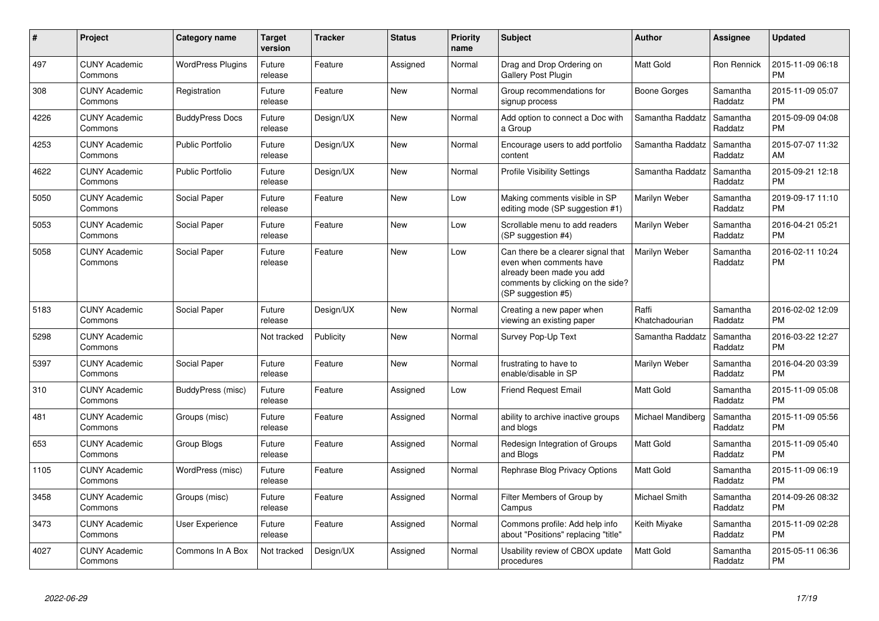| $\#$ | <b>Project</b>                  | Category name            | <b>Target</b><br>version | <b>Tracker</b> | <b>Status</b> | <b>Priority</b><br>name | <b>Subject</b>                                                                                                                                        | Author                  | Assignee            | <b>Updated</b>                |
|------|---------------------------------|--------------------------|--------------------------|----------------|---------------|-------------------------|-------------------------------------------------------------------------------------------------------------------------------------------------------|-------------------------|---------------------|-------------------------------|
| 497  | <b>CUNY Academic</b><br>Commons | <b>WordPress Plugins</b> | Future<br>release        | Feature        | Assigned      | Normal                  | Drag and Drop Ordering on<br>Gallery Post Plugin                                                                                                      | <b>Matt Gold</b>        | Ron Rennick         | 2015-11-09 06:18<br><b>PM</b> |
| 308  | <b>CUNY Academic</b><br>Commons | Registration             | Future<br>release        | Feature        | <b>New</b>    | Normal                  | Group recommendations for<br>signup process                                                                                                           | Boone Gorges            | Samantha<br>Raddatz | 2015-11-09 05:07<br><b>PM</b> |
| 4226 | <b>CUNY Academic</b><br>Commons | <b>BuddyPress Docs</b>   | Future<br>release        | Design/UX      | <b>New</b>    | Normal                  | Add option to connect a Doc with<br>a Group                                                                                                           | Samantha Raddatz        | Samantha<br>Raddatz | 2015-09-09 04:08<br><b>PM</b> |
| 4253 | <b>CUNY Academic</b><br>Commons | <b>Public Portfolio</b>  | Future<br>release        | Design/UX      | <b>New</b>    | Normal                  | Encourage users to add portfolio<br>content                                                                                                           | Samantha Raddatz        | Samantha<br>Raddatz | 2015-07-07 11:32<br>AM        |
| 4622 | <b>CUNY Academic</b><br>Commons | <b>Public Portfolio</b>  | Future<br>release        | Design/UX      | <b>New</b>    | Normal                  | <b>Profile Visibility Settings</b>                                                                                                                    | Samantha Raddatz        | Samantha<br>Raddatz | 2015-09-21 12:18<br><b>PM</b> |
| 5050 | <b>CUNY Academic</b><br>Commons | Social Paper             | Future<br>release        | Feature        | <b>New</b>    | Low                     | Making comments visible in SP<br>editing mode (SP suggestion #1)                                                                                      | Marilyn Weber           | Samantha<br>Raddatz | 2019-09-17 11:10<br><b>PM</b> |
| 5053 | <b>CUNY Academic</b><br>Commons | Social Paper             | Future<br>release        | Feature        | <b>New</b>    | Low                     | Scrollable menu to add readers<br>(SP suggestion #4)                                                                                                  | Marilyn Weber           | Samantha<br>Raddatz | 2016-04-21 05:21<br><b>PM</b> |
| 5058 | <b>CUNY Academic</b><br>Commons | Social Paper             | Future<br>release        | Feature        | <b>New</b>    | Low                     | Can there be a clearer signal that<br>even when comments have<br>already been made you add<br>comments by clicking on the side?<br>(SP suggestion #5) | Marilyn Weber           | Samantha<br>Raddatz | 2016-02-11 10:24<br><b>PM</b> |
| 5183 | <b>CUNY Academic</b><br>Commons | Social Paper             | Future<br>release        | Design/UX      | <b>New</b>    | Normal                  | Creating a new paper when<br>viewing an existing paper                                                                                                | Raffi<br>Khatchadourian | Samantha<br>Raddatz | 2016-02-02 12:09<br><b>PM</b> |
| 5298 | <b>CUNY Academic</b><br>Commons |                          | Not tracked              | Publicity      | New           | Normal                  | Survey Pop-Up Text                                                                                                                                    | Samantha Raddatz        | Samantha<br>Raddatz | 2016-03-22 12:27<br><b>PM</b> |
| 5397 | <b>CUNY Academic</b><br>Commons | Social Paper             | Future<br>release        | Feature        | <b>New</b>    | Normal                  | frustrating to have to<br>enable/disable in SP                                                                                                        | Marilyn Weber           | Samantha<br>Raddatz | 2016-04-20 03:39<br><b>PM</b> |
| 310  | <b>CUNY Academic</b><br>Commons | BuddyPress (misc)        | Future<br>release        | Feature        | Assigned      | Low                     | <b>Friend Request Email</b>                                                                                                                           | <b>Matt Gold</b>        | Samantha<br>Raddatz | 2015-11-09 05:08<br><b>PM</b> |
| 481  | <b>CUNY Academic</b><br>Commons | Groups (misc)            | Future<br>release        | Feature        | Assigned      | Normal                  | ability to archive inactive groups<br>and blogs                                                                                                       | Michael Mandiberg       | Samantha<br>Raddatz | 2015-11-09 05:56<br><b>PM</b> |
| 653  | <b>CUNY Academic</b><br>Commons | Group Blogs              | Future<br>release        | Feature        | Assigned      | Normal                  | Redesign Integration of Groups<br>and Blogs                                                                                                           | <b>Matt Gold</b>        | Samantha<br>Raddatz | 2015-11-09 05:40<br><b>PM</b> |
| 1105 | <b>CUNY Academic</b><br>Commons | WordPress (misc)         | Future<br>release        | Feature        | Assigned      | Normal                  | Rephrase Blog Privacy Options                                                                                                                         | <b>Matt Gold</b>        | Samantha<br>Raddatz | 2015-11-09 06:19<br><b>PM</b> |
| 3458 | <b>CUNY Academic</b><br>Commons | Groups (misc)            | Future<br>release        | Feature        | Assigned      | Normal                  | Filter Members of Group by<br>Campus                                                                                                                  | Michael Smith           | Samantha<br>Raddatz | 2014-09-26 08:32<br><b>PM</b> |
| 3473 | <b>CUNY Academic</b><br>Commons | User Experience          | Future<br>release        | Feature        | Assigned      | Normal                  | Commons profile: Add help info<br>about "Positions" replacing "title"                                                                                 | Keith Miyake            | Samantha<br>Raddatz | 2015-11-09 02:28<br><b>PM</b> |
| 4027 | <b>CUNY Academic</b><br>Commons | Commons In A Box         | Not tracked              | Design/UX      | Assigned      | Normal                  | Usability review of CBOX update<br>procedures                                                                                                         | <b>Matt Gold</b>        | Samantha<br>Raddatz | 2015-05-11 06:36<br><b>PM</b> |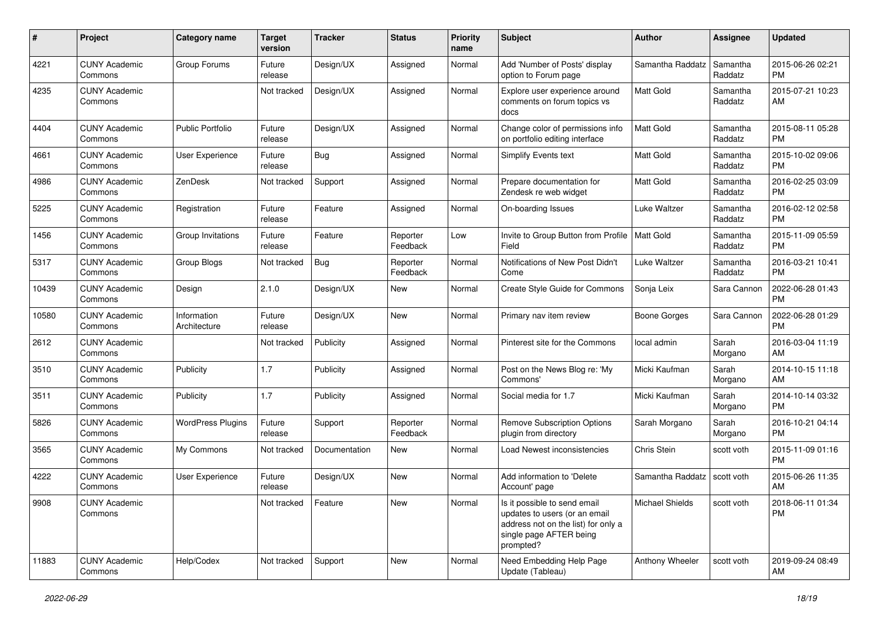| #     | Project                         | Category name               | <b>Target</b><br>version | <b>Tracker</b> | <b>Status</b>        | <b>Priority</b><br>name | <b>Subject</b>                                                                                                                               | <b>Author</b>       | <b>Assignee</b>     | <b>Updated</b>                |
|-------|---------------------------------|-----------------------------|--------------------------|----------------|----------------------|-------------------------|----------------------------------------------------------------------------------------------------------------------------------------------|---------------------|---------------------|-------------------------------|
| 4221  | <b>CUNY Academic</b><br>Commons | Group Forums                | Future<br>release        | Design/UX      | Assigned             | Normal                  | Add 'Number of Posts' display<br>option to Forum page                                                                                        | Samantha Raddatz    | Samantha<br>Raddatz | 2015-06-26 02:21<br><b>PM</b> |
| 4235  | <b>CUNY Academic</b><br>Commons |                             | Not tracked              | Design/UX      | Assigned             | Normal                  | Explore user experience around<br>comments on forum topics vs<br>docs                                                                        | <b>Matt Gold</b>    | Samantha<br>Raddatz | 2015-07-21 10:23<br>AM        |
| 4404  | <b>CUNY Academic</b><br>Commons | <b>Public Portfolio</b>     | Future<br>release        | Design/UX      | Assigned             | Normal                  | Change color of permissions info<br>on portfolio editing interface                                                                           | Matt Gold           | Samantha<br>Raddatz | 2015-08-11 05:28<br><b>PM</b> |
| 4661  | <b>CUNY Academic</b><br>Commons | <b>User Experience</b>      | Future<br>release        | <b>Bug</b>     | Assigned             | Normal                  | Simplify Events text                                                                                                                         | <b>Matt Gold</b>    | Samantha<br>Raddatz | 2015-10-02 09:06<br><b>PM</b> |
| 4986  | <b>CUNY Academic</b><br>Commons | ZenDesk                     | Not tracked              | Support        | Assigned             | Normal                  | Prepare documentation for<br>Zendesk re web widget                                                                                           | <b>Matt Gold</b>    | Samantha<br>Raddatz | 2016-02-25 03:09<br><b>PM</b> |
| 5225  | <b>CUNY Academic</b><br>Commons | Registration                | Future<br>release        | Feature        | Assigned             | Normal                  | On-boarding Issues                                                                                                                           | <b>Luke Waltzer</b> | Samantha<br>Raddatz | 2016-02-12 02:58<br><b>PM</b> |
| 1456  | <b>CUNY Academic</b><br>Commons | Group Invitations           | Future<br>release        | Feature        | Reporter<br>Feedback | Low                     | Invite to Group Button from Profile<br>Field                                                                                                 | <b>Matt Gold</b>    | Samantha<br>Raddatz | 2015-11-09 05:59<br><b>PM</b> |
| 5317  | <b>CUNY Academic</b><br>Commons | Group Blogs                 | Not tracked              | <b>Bug</b>     | Reporter<br>Feedback | Normal                  | Notifications of New Post Didn't<br>Come                                                                                                     | Luke Waltzer        | Samantha<br>Raddatz | 2016-03-21 10:41<br><b>PM</b> |
| 10439 | <b>CUNY Academic</b><br>Commons | Design                      | 2.1.0                    | Design/UX      | New                  | Normal                  | Create Style Guide for Commons                                                                                                               | Sonja Leix          | Sara Cannon         | 2022-06-28 01:43<br>PM        |
| 10580 | <b>CUNY Academic</b><br>Commons | Information<br>Architecture | Future<br>release        | Design/UX      | New                  | Normal                  | Primary nav item review                                                                                                                      | <b>Boone Gorges</b> | Sara Cannon         | 2022-06-28 01:29<br><b>PM</b> |
| 2612  | <b>CUNY Academic</b><br>Commons |                             | Not tracked              | Publicity      | Assigned             | Normal                  | Pinterest site for the Commons                                                                                                               | local admin         | Sarah<br>Morgano    | 2016-03-04 11:19<br>AM        |
| 3510  | <b>CUNY Academic</b><br>Commons | Publicity                   | 1.7                      | Publicity      | Assigned             | Normal                  | Post on the News Blog re: 'My<br>Commons'                                                                                                    | Micki Kaufman       | Sarah<br>Morgano    | 2014-10-15 11:18<br>AM        |
| 3511  | <b>CUNY Academic</b><br>Commons | Publicity                   | 1.7                      | Publicity      | Assigned             | Normal                  | Social media for 1.7                                                                                                                         | Micki Kaufman       | Sarah<br>Morgano    | 2014-10-14 03:32<br><b>PM</b> |
| 5826  | <b>CUNY Academic</b><br>Commons | <b>WordPress Plugins</b>    | Future<br>release        | Support        | Reporter<br>Feedback | Normal                  | <b>Remove Subscription Options</b><br>plugin from directory                                                                                  | Sarah Morgano       | Sarah<br>Morgano    | 2016-10-21 04:14<br><b>PM</b> |
| 3565  | <b>CUNY Academic</b><br>Commons | My Commons                  | Not tracked              | Documentation  | New                  | Normal                  | Load Newest inconsistencies                                                                                                                  | Chris Stein         | scott voth          | 2015-11-09 01:16<br><b>PM</b> |
| 4222  | <b>CUNY Academic</b><br>Commons | User Experience             | Future<br>release        | Design/UX      | New                  | Normal                  | Add information to 'Delete<br>Account' page                                                                                                  | Samantha Raddatz    | scott voth          | 2015-06-26 11:35<br>AM        |
| 9908  | <b>CUNY Academic</b><br>Commons |                             | Not tracked              | Feature        | New                  | Normal                  | Is it possible to send email<br>updates to users (or an email<br>address not on the list) for only a<br>single page AFTER being<br>prompted? | Michael Shields     | scott voth          | 2018-06-11 01:34<br><b>PM</b> |
| 11883 | <b>CUNY Academic</b><br>Commons | Help/Codex                  | Not tracked              | Support        | New                  | Normal                  | Need Embedding Help Page<br>Update (Tableau)                                                                                                 | Anthony Wheeler     | scott voth          | 2019-09-24 08:49<br>AM        |